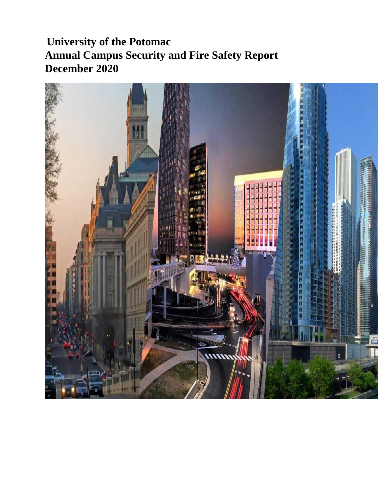## **University of the Potomac Annual Campus Security and Fire Safety Report December 2020**

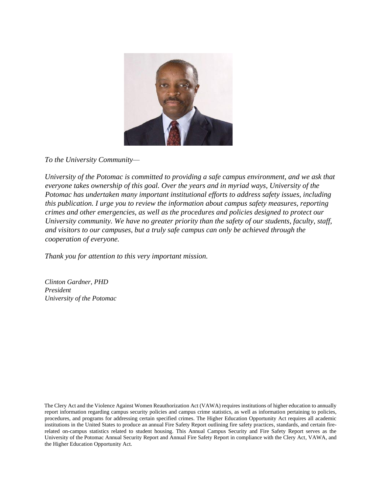

*To the University Community—*

*University of the Potomac is committed to providing a safe campus environment, and we ask that everyone takes ownership of this goal. Over the years and in myriad ways, University of the Potomac has undertaken many important institutional efforts to address safety issues, including this publication. I urge you to review the information about campus safety measures, reporting crimes and other emergencies, as well as the procedures and policies designed to protect our University community. We have no greater priority than the safety of our students, faculty, staff, and visitors to our campuses, but a truly safe campus can only be achieved through the cooperation of everyone.* 

*Thank you for attention to this very important mission.*

*Clinton Gardner, PHD President University of the Potomac*

The Clery Act and the Violence Against Women Reauthorization Act (VAWA) requires institutions of higher education to annually report information regarding campus security policies and campus crime statistics, as well as information pertaining to policies, procedures, and programs for addressing certain specified crimes. The Higher Education Opportunity Act requires all academic institutions in the United States to produce an annual Fire Safety Report outlining fire safety practices, standards, and certain firerelated on-campus statistics related to student housing. This Annual Campus Security and Fire Safety Report serves as the University of the Potomac Annual Security Report and Annual Fire Safety Report in compliance with the Clery Act, VAWA, and the Higher Education Opportunity Act.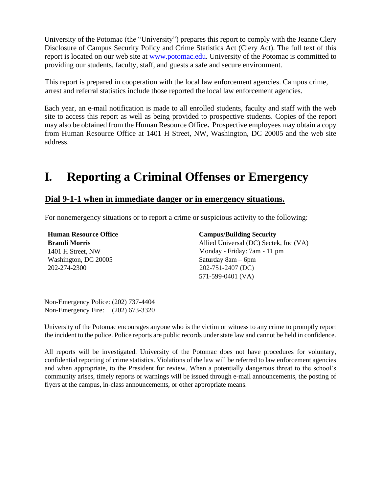University of the Potomac (the "University") prepares this report to comply with the Jeanne Clery Disclosure of Campus Security Policy and Crime Statistics Act (Clery Act). The full text of this report is located on our web site at [www.potomac.edu.](http://www.potomac.edu/) University of the Potomac is committed to providing our students, faculty, staff, and guests a safe and secure environment.

This report is prepared in cooperation with the local law enforcement agencies. Campus crime, arrest and referral statistics include those reported the local law enforcement agencies.

Each year, an e-mail notification is made to all enrolled students, faculty and staff with the web site to access this report as well as being provided to prospective students. Copies of the report may also be obtained from the Human Resource Office**.** Prospective employees may obtain a copy from Human Resource Office at 1401 H Street, NW, Washington, DC 20005 and the web site address.

## **I. Reporting a Criminal Offenses or Emergency**

#### **Dial 9-1-1 when in immediate danger or in emergency situations.**

For nonemergency situations or to report a crime or suspicious activity to the following:

**Human Resource Office Brandi Morris**  1401 H Street, NW Washington, DC 20005 202-274-2300 **Campus/Building Security**  Allied Universal (DC) Sectek, Inc (VA) Monday - Friday: 7am - 11 pm Saturday 8am – 6pm 202-751-2407 (DC) 571-599-0401 (VA)

Non-Emergency Police: (202) 737-4404 Non-Emergency Fire: (202) 673-3320

University of the Potomac encourages anyone who is the victim or witness to any crime to promptly report the incident to the police. Police reports are public records under state law and cannot be held in confidence.

All reports will be investigated. University of the Potomac does not have procedures for voluntary, confidential reporting of crime statistics. Violations of the law will be referred to law enforcement agencies and when appropriate, to the President for review. When a potentially dangerous threat to the school's community arises, timely reports or warnings will be issued through e-mail announcements, the posting of flyers at the campus, in-class announcements, or other appropriate means.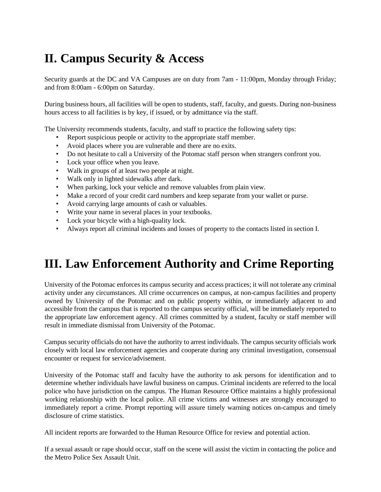# **II. Campus Security & Access**

Security guards at the DC and VA Campuses are on duty from 7am - 11:00pm, Monday through Friday; and from 8:00am - 6:00pm on Saturday.

During business hours, all facilities will be open to students, staff, faculty, and guests. During non-business hours access to all facilities is by key, if issued, or by admittance via the staff.

The University recommends students, faculty, and staff to practice the following safety tips:

- Report suspicious people or activity to the appropriate staff member.
- Avoid places where you are vulnerable and there are no exits.
- Do not hesitate to call a University of the Potomac staff person when strangers confront you.
- Lock your office when you leave.
- Walk in groups of at least two people at night.
- Walk only in lighted sidewalks after dark.
- When parking, lock your vehicle and remove valuables from plain view.
- Make a record of your credit card numbers and keep separate from your wallet or purse.
- Avoid carrying large amounts of cash or valuables.
- Write your name in several places in your textbooks.
- Lock your bicycle with a high-quality lock.
- Always report all criminal incidents and losses of property to the contacts listed in section I.

## **III. Law Enforcement Authority and Crime Reporting**

University of the Potomac enforces its campus security and access practices; it will not tolerate any criminal activity under any circumstances. All crime occurrences on campus, at non-campus facilities and property owned by University of the Potomac and on public property within, or immediately adjacent to and accessible from the campus that is reported to the campus security official, will be immediately reported to the appropriate law enforcement agency. All crimes committed by a student, faculty or staff member will result in immediate dismissal from University of the Potomac.

Campus security officials do not have the authority to arrest individuals. The campus security officials work closely with local law enforcement agencies and cooperate during any criminal investigation, consensual encounter or request for service/advisement.

University of the Potomac staff and faculty have the authority to ask persons for identification and to determine whether individuals have lawful business on campus. Criminal incidents are referred to the local police who have jurisdiction on the campus. The Human Resource Office maintains a highly professional working relationship with the local police. All crime victims and witnesses are strongly encouraged to immediately report a crime. Prompt reporting will assure timely warning notices on-campus and timely disclosure of crime statistics.

All incident reports are forwarded to the Human Resource Office for review and potential action.

If a sexual assault or rape should occur, staff on the scene will assist the victim in contacting the police and the Metro Police Sex Assault Unit.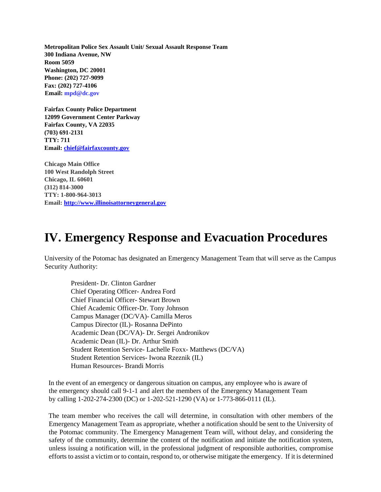**Metropolitan Police Sex Assault Unit/ Sexual Assault Response Team 300 Indiana Avenue, NW Room 5059 Washington, DC 20001 Phone: (202) 727-9099 Fax: (202) 727-4106 Email: mpd@dc.gov**

**Fairfax County Police Department 12099 Government Center Parkway Fairfax County, VA 22035 (703) 691-2131 TTY: 711 Email: chief@fairfaxcounty.gov** 

**Chicago Main Office 100 West Randolph Street Chicago, IL 60601 (312) 814-3000 TTY: 1-800-964-3013 Email[: http://www.illinoisattorneygeneral.gov](http://www.illinoisattorneygeneral.gov/)**

## **IV. Emergency Response and Evacuation Procedures**

University of the Potomac has designated an Emergency Management Team that will serve as the Campus Security Authority:

President- Dr. Clinton Gardner Chief Operating Officer- Andrea Ford Chief Financial Officer- Stewart Brown Chief Academic Officer-Dr. Tony Johnson Campus Manager (DC/VA)- Camilla Meros Campus Director (IL)- Rosanna DePinto Academic Dean (DC/VA)- Dr. Sergei Andronikov Academic Dean (IL)- Dr. Arthur Smith Student Retention Service- Lachelle Foxx- Matthews (DC/VA) Student Retention Services- Iwona Rzeznik (IL) Human Resources- Brandi Morris

In the event of an emergency or dangerous situation on campus, any employee who is aware of the emergency should call 9-1-1 and alert the members of the Emergency Management Team by calling 1-202-274-2300 (DC) or 1-202-521-1290 (VA) or 1-773-866-0111 (IL).

The team member who receives the call will determine, in consultation with other members of the Emergency Management Team as appropriate, whether a notification should be sent to the University of the Potomac community. The Emergency Management Team will, without delay, and considering the safety of the community, determine the content of the notification and initiate the notification system, unless issuing a notification will, in the professional judgment of responsible authorities, compromise efforts to assist a victim or to contain, respond to, or otherwise mitigate the emergency. If it is determined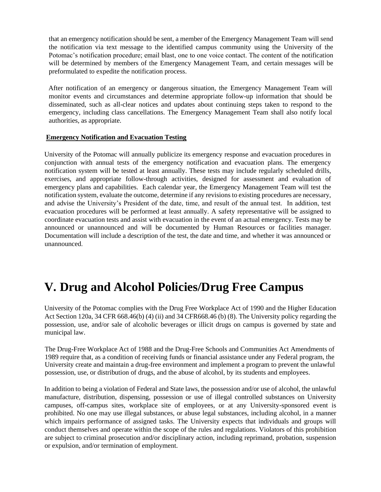that an emergency notification should be sent, a member of the Emergency Management Team will send the notification via text message to the identified campus community using the University of the Potomac's notification procedure; email blast, one to one voice contact. The content of the notification will be determined by members of the Emergency Management Team, and certain messages will be preformulated to expedite the notification process.

After notification of an emergency or dangerous situation, the Emergency Management Team will monitor events and circumstances and determine appropriate follow-up information that should be disseminated, such as all-clear notices and updates about continuing steps taken to respond to the emergency, including class cancellations. The Emergency Management Team shall also notify local authorities, as appropriate.

#### **Emergency Notification and Evacuation Testing**

University of the Potomac will annually publicize its emergency response and evacuation procedures in conjunction with annual tests of the emergency notification and evacuation plans. The emergency notification system will be tested at least annually. These tests may include regularly scheduled drills, exercises, and appropriate follow-through activities, designed for assessment and evaluation of emergency plans and capabilities. Each calendar year, the Emergency Management Team will test the notification system, evaluate the outcome, determine if any revisions to existing procedures are necessary, and advise the University's President of the date, time, and result of the annual test. In addition, test evacuation procedures will be performed at least annually. A safety representative will be assigned to coordinate evacuation tests and assist with evacuation in the event of an actual emergency. Tests may be announced or unannounced and will be documented by Human Resources or facilities manager. Documentation will include a description of the test, the date and time, and whether it was announced or unannounced.

## **V. Drug and Alcohol Policies/Drug Free Campus**

University of the Potomac complies with the Drug Free Workplace Act of 1990 and the Higher Education Act Section 120a, 34 CFR 668.46(b) (4) (ii) and 34 CFR668.46 (b) (8). The University policy regarding the possession, use, and/or sale of alcoholic beverages or illicit drugs on campus is governed by state and municipal law.

The Drug-Free Workplace Act of 1988 and the Drug-Free Schools and Communities Act Amendments of 1989 require that, as a condition of receiving funds or financial assistance under any Federal program, the University create and maintain a drug-free environment and implement a program to prevent the unlawful possession, use, or distribution of drugs, and the abuse of alcohol, by its students and employees.

In addition to being a violation of Federal and State laws, the possession and/or use of alcohol, the unlawful manufacture, distribution, dispensing, possession or use of illegal controlled substances on University campuses, off-campus sites, workplace site of employees, or at any University-sponsored event is prohibited. No one may use illegal substances, or abuse legal substances, including alcohol, in a manner which impairs performance of assigned tasks. The University expects that individuals and groups will conduct themselves and operate within the scope of the rules and regulations. Violators of this prohibition are subject to criminal prosecution and/or disciplinary action, including reprimand, probation, suspension or expulsion, and/or termination of employment.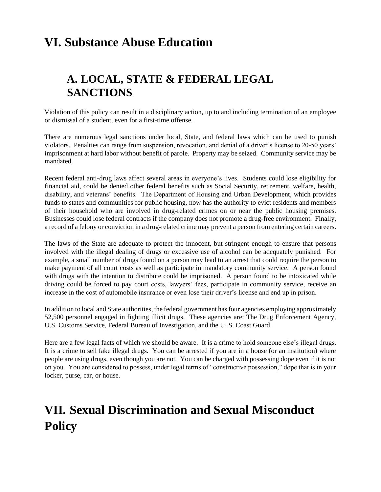## **VI. Substance Abuse Education**

## **A. LOCAL, STATE & FEDERAL LEGAL SANCTIONS**

Violation of this policy can result in a disciplinary action, up to and including termination of an employee or dismissal of a student, even for a first-time offense.

There are numerous legal sanctions under local, State, and federal laws which can be used to punish violators. Penalties can range from suspension, revocation, and denial of a driver's license to 20-50 years' imprisonment at hard labor without benefit of parole. Property may be seized. Community service may be mandated.

Recent federal anti-drug laws affect several areas in everyone's lives. Students could lose eligibility for financial aid, could be denied other federal benefits such as Social Security, retirement, welfare, health, disability, and veterans' benefits. The Department of Housing and Urban Development, which provides funds to states and communities for public housing, now has the authority to evict residents and members of their household who are involved in drug-related crimes on or near the public housing premises. Businesses could lose federal contracts if the company does not promote a drug-free environment. Finally, a record of a felony or conviction in a drug-related crime may prevent a person from entering certain careers.

The laws of the State are adequate to protect the innocent, but stringent enough to ensure that persons involved with the illegal dealing of drugs or excessive use of alcohol can be adequately punished. For example, a small number of drugs found on a person may lead to an arrest that could require the person to make payment of all court costs as well as participate in mandatory community service. A person found with drugs with the intention to distribute could be imprisoned. A person found to be intoxicated while driving could be forced to pay court costs, lawyers' fees, participate in community service, receive an increase in the cost of automobile insurance or even lose their driver's license and end up in prison.

In addition to local and State authorities, the federal government has four agencies employing approximately 52,500 personnel engaged in fighting illicit drugs. These agencies are: The Drug Enforcement Agency, U.S. Customs Service, Federal Bureau of Investigation, and the U. S. Coast Guard.

Here are a few legal facts of which we should be aware. It is a crime to hold someone else's illegal drugs. It is a crime to sell fake illegal drugs. You can be arrested if you are in a house (or an institution) where people are using drugs, even though you are not. You can be charged with possessing dope even if it is not on you. You are considered to possess, under legal terms of "constructive possession," dope that is in your locker, purse, car, or house.

## **VII. Sexual Discrimination and Sexual Misconduct Policy**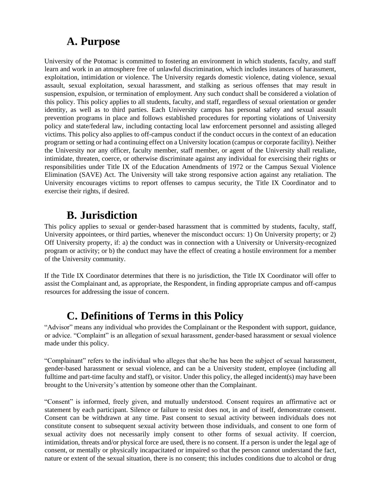### **A. Purpose**

University of the Potomac is committed to fostering an environment in which students, faculty, and staff learn and work in an atmosphere free of unlawful discrimination, which includes instances of harassment, exploitation, intimidation or violence. The University regards domestic violence, dating violence, sexual assault, sexual exploitation, sexual harassment, and stalking as serious offenses that may result in suspension, expulsion, or termination of employment. Any such conduct shall be considered a violation of this policy. This policy applies to all students, faculty, and staff, regardless of sexual orientation or gender identity, as well as to third parties. Each University campus has personal safety and sexual assault prevention programs in place and follows established procedures for reporting violations of University policy and state/federal law, including contacting local law enforcement personnel and assisting alleged victims. This policy also applies to off-campus conduct if the conduct occurs in the context of an education program or setting or had a continuing effect on a University location (campus or corporate facility). Neither the University nor any officer, faculty member, staff member, or agent of the University shall retaliate, intimidate, threaten, coerce, or otherwise discriminate against any individual for exercising their rights or responsibilities under Title IX of the Education Amendments of 1972 or the Campus Sexual Violence Elimination (SAVE) Act. The University will take strong responsive action against any retaliation. The University encourages victims to report offenses to campus security, the Title IX Coordinator and to exercise their rights, if desired.

### **B. Jurisdiction**

This policy applies to sexual or gender-based harassment that is committed by students, faculty, staff, University appointees, or third parties, whenever the misconduct occurs: 1) On University property; or 2) Off University property, if: a) the conduct was in connection with a University or University-recognized program or activity; or b) the conduct may have the effect of creating a hostile environment for a member of the University community.

If the Title IX Coordinator determines that there is no jurisdiction, the Title IX Coordinator will offer to assist the Complainant and, as appropriate, the Respondent, in finding appropriate campus and off-campus resources for addressing the issue of concern.

### **C. Definitions of Terms in this Policy**

"Advisor" means any individual who provides the Complainant or the Respondent with support, guidance, or advice. "Complaint" is an allegation of sexual harassment, gender-based harassment or sexual violence made under this policy.

"Complainant" refers to the individual who alleges that she/he has been the subject of sexual harassment, gender-based harassment or sexual violence, and can be a University student, employee (including all fulltime and part-time faculty and staff), or visitor. Under this policy, the alleged incident(s) may have been brought to the University's attention by someone other than the Complainant.

"Consent" is informed, freely given, and mutually understood. Consent requires an affirmative act or statement by each participant. Silence or failure to resist does not, in and of itself, demonstrate consent. Consent can be withdrawn at any time. Past consent to sexual activity between individuals does not constitute consent to subsequent sexual activity between those individuals, and consent to one form of sexual activity does not necessarily imply consent to other forms of sexual activity. If coercion, intimidation, threats and/or physical force are used, there is no consent. If a person is under the legal age of consent, or mentally or physically incapacitated or impaired so that the person cannot understand the fact, nature or extent of the sexual situation, there is no consent; this includes conditions due to alcohol or drug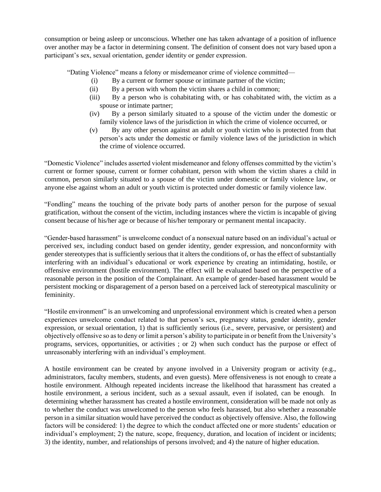consumption or being asleep or unconscious. Whether one has taken advantage of a position of influence over another may be a factor in determining consent. The definition of consent does not vary based upon a participant's sex, sexual orientation, gender identity or gender expression.

"Dating Violence" means a felony or misdemeanor crime of violence committed—

- (i) By a current or former spouse or intimate partner of the victim;
- (ii) By a person with whom the victim shares a child in common;
- (iii) By a person who is cohabitating with, or has cohabitated with, the victim as a spouse or intimate partner;
- (iv) By a person similarly situated to a spouse of the victim under the domestic or family violence laws of the jurisdiction in which the crime of violence occurred, or
- (v) By any other person against an adult or youth victim who is protected from that person's acts under the domestic or family violence laws of the jurisdiction in which the crime of violence occurred.

"Domestic Violence" includes asserted violent misdemeanor and felony offenses committed by the victim's current or former spouse, current or former cohabitant, person with whom the victim shares a child in common, person similarly situated to a spouse of the victim under domestic or family violence law, or anyone else against whom an adult or youth victim is protected under domestic or family violence law.

"Fondling" means the touching of the private body parts of another person for the purpose of sexual gratification, without the consent of the victim, including instances where the victim is incapable of giving consent because of his/her age or because of his/her temporary or permanent mental incapacity.

"Gender-based harassment" is unwelcome conduct of a nonsexual nature based on an individual's actual or perceived sex, including conduct based on gender identity, gender expression, and nonconformity with gender stereotypes that is sufficiently serious that it alters the conditions of, or has the effect of substantially interfering with an individual's educational or work experience by creating an intimidating, hostile, or offensive environment (hostile environment). The effect will be evaluated based on the perspective of a reasonable person in the position of the Complainant. An example of gender-based harassment would be persistent mocking or disparagement of a person based on a perceived lack of stereotypical masculinity or femininity.

"Hostile environment" is an unwelcoming and unprofessional environment which is created when a person experiences unwelcome conduct related to that person's sex, pregnancy status, gender identity, gender expression, or sexual orientation, 1) that is sufficiently serious (i.e., severe, pervasive, or persistent) and objectively offensive so as to deny or limit a person's ability to participate in or benefit from the University's programs, services, opportunities, or activities ; or 2) when such conduct has the purpose or effect of unreasonably interfering with an individual's employment.

A hostile environment can be created by anyone involved in a University program or activity (e.g., administrators, faculty members, students, and even guests). Mere offensiveness is not enough to create a hostile environment. Although repeated incidents increase the likelihood that harassment has created a hostile environment, a serious incident, such as a sexual assault, even if isolated, can be enough. In determining whether harassment has created a hostile environment, consideration will be made not only as to whether the conduct was unwelcomed to the person who feels harassed, but also whether a reasonable person in a similar situation would have perceived the conduct as objectively offensive. Also, the following factors will be considered: 1) the degree to which the conduct affected one or more students' education or individual's employment; 2) the nature, scope, frequency, duration, and location of incident or incidents; 3) the identity, number, and relationships of persons involved; and 4) the nature of higher education.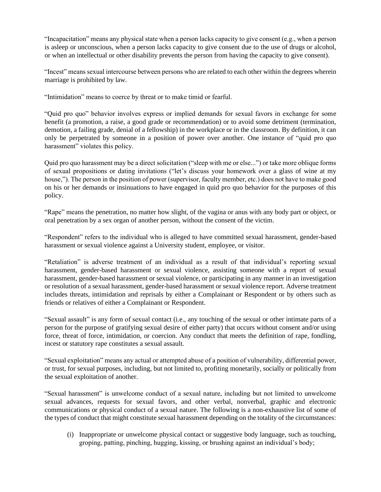"Incapacitation" means any physical state when a person lacks capacity to give consent (e.g., when a person is asleep or unconscious, when a person lacks capacity to give consent due to the use of drugs or alcohol, or when an intellectual or other disability prevents the person from having the capacity to give consent).

"Incest" means sexual intercourse between persons who are related to each other within the degrees wherein marriage is prohibited by law.

"Intimidation" means to coerce by threat or to make timid or fearful.

"Quid pro quo" behavior involves express or implied demands for sexual favors in exchange for some benefit (a promotion, a raise, a good grade or recommendation) or to avoid some detriment (termination, demotion, a failing grade, denial of a fellowship) in the workplace or in the classroom. By definition, it can only be perpetrated by someone in a position of power over another. One instance of "quid pro quo harassment" violates this policy.

Quid pro quo harassment may be a direct solicitation ("sleep with me or else...") or take more oblique forms of sexual propositions or dating invitations ("let's discuss your homework over a glass of wine at my house,"). The person in the position of power (supervisor, faculty member, etc.) does not have to make good on his or her demands or insinuations to have engaged in quid pro quo behavior for the purposes of this policy.

"Rape" means the penetration, no matter how slight, of the vagina or anus with any body part or object, or oral penetration by a sex organ of another person, without the consent of the victim.

"Respondent" refers to the individual who is alleged to have committed sexual harassment, gender-based harassment or sexual violence against a University student, employee, or visitor.

"Retaliation" is adverse treatment of an individual as a result of that individual's reporting sexual harassment, gender-based harassment or sexual violence, assisting someone with a report of sexual harassment, gender-based harassment or sexual violence, or participating in any manner in an investigation or resolution of a sexual harassment, gender-based harassment or sexual violence report. Adverse treatment includes threats, intimidation and reprisals by either a Complainant or Respondent or by others such as friends or relatives of either a Complainant or Respondent.

"Sexual assault" is any form of sexual contact (i.e., any touching of the sexual or other intimate parts of a person for the purpose of gratifying sexual desire of either party) that occurs without consent and/or using force, threat of force, intimidation, or coercion. Any conduct that meets the definition of rape, fondling, incest or statutory rape constitutes a sexual assault.

"Sexual exploitation" means any actual or attempted abuse of a position of vulnerability, differential power, or trust, for sexual purposes, including, but not limited to, profiting monetarily, socially or politically from the sexual exploitation of another.

"Sexual harassment" is unwelcome conduct of a sexual nature, including but not limited to unwelcome sexual advances, requests for sexual favors, and other verbal, nonverbal, graphic and electronic communications or physical conduct of a sexual nature. The following is a non-exhaustive list of some of the types of conduct that might constitute sexual harassment depending on the totality of the circumstances:

(i) Inappropriate or unwelcome physical contact or suggestive body language, such as touching, groping, patting, pinching, hugging, kissing, or brushing against an individual's body;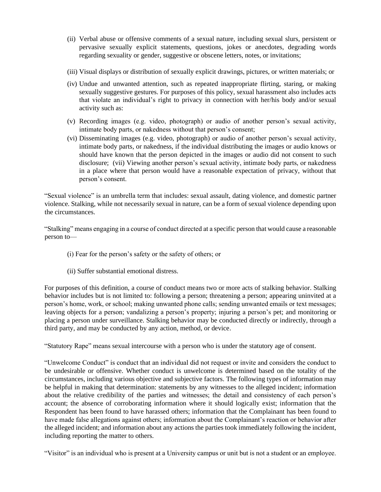- (ii) Verbal abuse or offensive comments of a sexual nature, including sexual slurs, persistent or pervasive sexually explicit statements, questions, jokes or anecdotes, degrading words regarding sexuality or gender, suggestive or obscene letters, notes, or invitations;
- (iii) Visual displays or distribution of sexually explicit drawings, pictures, or written materials; or
- (iv) Undue and unwanted attention, such as repeated inappropriate flirting, staring, or making sexually suggestive gestures. For purposes of this policy, sexual harassment also includes acts that violate an individual's right to privacy in connection with her/his body and/or sexual activity such as:
- (v) Recording images (e.g. video, photograph) or audio of another person's sexual activity, intimate body parts, or nakedness without that person's consent;
- (vi) Disseminating images (e.g. video, photograph) or audio of another person's sexual activity, intimate body parts, or nakedness, if the individual distributing the images or audio knows or should have known that the person depicted in the images or audio did not consent to such disclosure; (vii) Viewing another person's sexual activity, intimate body parts, or nakedness in a place where that person would have a reasonable expectation of privacy, without that person's consent.

"Sexual violence" is an umbrella term that includes: sexual assault, dating violence, and domestic partner violence. Stalking, while not necessarily sexual in nature, can be a form of sexual violence depending upon the circumstances.

"Stalking" means engaging in a course of conduct directed at a specific person that would cause a reasonable person to—

- (i) Fear for the person's safety or the safety of others; or
- (ii) Suffer substantial emotional distress.

For purposes of this definition, a course of conduct means two or more acts of stalking behavior. Stalking behavior includes but is not limited to: following a person; threatening a person; appearing uninvited at a person's home, work, or school; making unwanted phone calls; sending unwanted emails or text messages; leaving objects for a person; vandalizing a person's property; injuring a person's pet; and monitoring or placing a person under surveillance. Stalking behavior may be conducted directly or indirectly, through a third party, and may be conducted by any action, method, or device.

"Statutory Rape" means sexual intercourse with a person who is under the statutory age of consent.

"Unwelcome Conduct" is conduct that an individual did not request or invite and considers the conduct to be undesirable or offensive. Whether conduct is unwelcome is determined based on the totality of the circumstances, including various objective and subjective factors. The following types of information may be helpful in making that determination: statements by any witnesses to the alleged incident; information about the relative credibility of the parties and witnesses; the detail and consistency of each person's account; the absence of corroborating information where it should logically exist; information that the Respondent has been found to have harassed others; information that the Complainant has been found to have made false allegations against others; information about the Complainant's reaction or behavior after the alleged incident; and information about any actions the parties took immediately following the incident, including reporting the matter to others.

"Visitor" is an individual who is present at a University campus or unit but is not a student or an employee.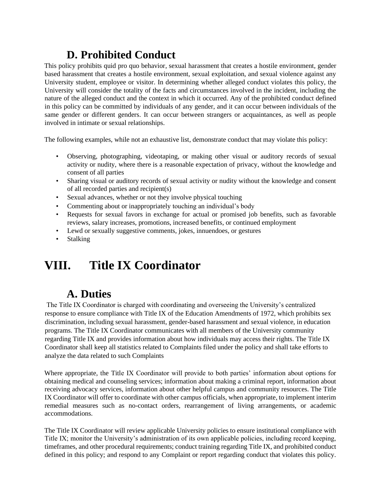## **D. Prohibited Conduct**

This policy prohibits quid pro quo behavior, sexual harassment that creates a hostile environment, gender based harassment that creates a hostile environment, sexual exploitation, and sexual violence against any University student, employee or visitor. In determining whether alleged conduct violates this policy, the University will consider the totality of the facts and circumstances involved in the incident, including the nature of the alleged conduct and the context in which it occurred. Any of the prohibited conduct defined in this policy can be committed by individuals of any gender, and it can occur between individuals of the same gender or different genders. It can occur between strangers or acquaintances, as well as people involved in intimate or sexual relationships.

The following examples, while not an exhaustive list, demonstrate conduct that may violate this policy:

- Observing, photographing, videotaping, or making other visual or auditory records of sexual activity or nudity, where there is a reasonable expectation of privacy, without the knowledge and consent of all parties
- Sharing visual or auditory records of sexual activity or nudity without the knowledge and consent of all recorded parties and recipient(s)
- Sexual advances, whether or not they involve physical touching
- Commenting about or inappropriately touching an individual's body
- Requests for sexual favors in exchange for actual or promised job benefits, such as favorable reviews, salary increases, promotions, increased benefits, or continued employment
- Lewd or sexually suggestive comments, jokes, innuendoes, or gestures
- Stalking

## **VIII. Title IX Coordinator**

### **A. Duties**

The Title IX Coordinator is charged with coordinating and overseeing the University's centralized response to ensure compliance with Title IX of the Education Amendments of 1972, which prohibits sex discrimination, including sexual harassment, gender-based harassment and sexual violence, in education programs. The Title IX Coordinator communicates with all members of the University community regarding Title IX and provides information about how individuals may access their rights. The Title IX Coordinator shall keep all statistics related to Complaints filed under the policy and shall take efforts to analyze the data related to such Complaints

Where appropriate, the Title IX Coordinator will provide to both parties' information about options for obtaining medical and counseling services; information about making a criminal report, information about receiving advocacy services, information about other helpful campus and community resources. The Title IX Coordinator will offer to coordinate with other campus officials, when appropriate, to implement interim remedial measures such as no-contact orders, rearrangement of living arrangements, or academic accommodations.

The Title IX Coordinator will review applicable University policies to ensure institutional compliance with Title IX; monitor the University's administration of its own applicable policies, including record keeping, timeframes, and other procedural requirements; conduct training regarding Title IX, and prohibited conduct defined in this policy; and respond to any Complaint or report regarding conduct that violates this policy.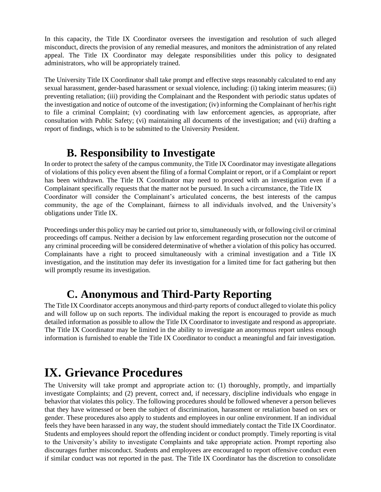In this capacity, the Title IX Coordinator oversees the investigation and resolution of such alleged misconduct, directs the provision of any remedial measures, and monitors the administration of any related appeal. The Title IX Coordinator may delegate responsibilities under this policy to designated administrators, who will be appropriately trained.

The University Title IX Coordinator shall take prompt and effective steps reasonably calculated to end any sexual harassment, gender-based harassment or sexual violence, including: (i) taking interim measures; (ii) preventing retaliation; (iii) providing the Complainant and the Respondent with periodic status updates of the investigation and notice of outcome of the investigation; (iv) informing the Complainant of her/his right to file a criminal Complaint; (v) coordinating with law enforcement agencies, as appropriate, after consultation with Public Safety; (vi) maintaining all documents of the investigation; and (vii) drafting a report of findings, which is to be submitted to the University President.

### **B. Responsibility to Investigate**

In order to protect the safety of the campus community, the Title IX Coordinator may investigate allegations of violations of this policy even absent the filing of a formal Complaint or report, or if a Complaint or report has been withdrawn. The Title IX Coordinator may need to proceed with an investigation even if a Complainant specifically requests that the matter not be pursued. In such a circumstance, the Title IX Coordinator will consider the Complainant's articulated concerns, the best interests of the campus community, the age of the Complainant, fairness to all individuals involved, and the University's obligations under Title IX.

Proceedings under this policy may be carried out prior to, simultaneously with, or following civil or criminal proceedings off campus. Neither a decision by law enforcement regarding prosecution nor the outcome of any criminal proceeding will be considered determinative of whether a violation of this policy has occurred. Complainants have a right to proceed simultaneously with a criminal investigation and a Title IX investigation, and the institution may defer its investigation for a limited time for fact gathering but then will promptly resume its investigation.

### **C. Anonymous and Third-Party Reporting**

The Title IX Coordinator accepts anonymous and third-party reports of conduct alleged to violate this policy and will follow up on such reports. The individual making the report is encouraged to provide as much detailed information as possible to allow the Title IX Coordinator to investigate and respond as appropriate. The Title IX Coordinator may be limited in the ability to investigate an anonymous report unless enough information is furnished to enable the Title IX Coordinator to conduct a meaningful and fair investigation.

## **IX. Grievance Procedures**

The University will take prompt and appropriate action to: (1) thoroughly, promptly, and impartially investigate Complaints; and (2) prevent, correct and, if necessary, discipline individuals who engage in behavior that violates this policy. The following procedures should be followed whenever a person believes that they have witnessed or been the subject of discrimination, harassment or retaliation based on sex or gender. These procedures also apply to students and employees in our online environment. If an individual feels they have been harassed in any way, the student should immediately contact the Title IX Coordinator. Students and employees should report the offending incident or conduct promptly. Timely reporting is vital to the University's ability to investigate Complaints and take appropriate action. Prompt reporting also discourages further misconduct. Students and employees are encouraged to report offensive conduct even if similar conduct was not reported in the past. The Title IX Coordinator has the discretion to consolidate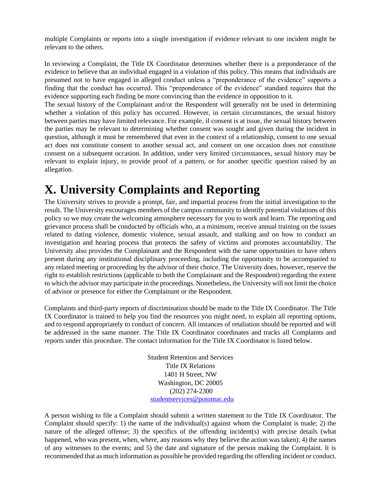multiple Complaints or reports into a single investigation if evidence relevant to one incident might be relevant to the others.

In reviewing a Complaint, the Title IX Coordinator determines whether there is a preponderance of the evidence to believe that an individual engaged in a violation of this policy. This means that individuals are presumed not to have engaged in alleged conduct unless a "preponderance of the evidence" supports a finding that the conduct has occurred. This "preponderance of the evidence" standard requires that the evidence supporting each finding be more convincing than the evidence in opposition to it.

The sexual history of the Complainant and/or the Respondent will generally not be used in determining whether a violation of this policy has occurred. However, in certain circumstances, the sexual history between parties may have limited relevance. For example, if consent is at issue, the sexual history between the parties may be relevant to determining whether consent was sought and given during the incident in question, although it must be remembered that even in the context of a relationship, consent to one sexual act does not constitute consent to another sexual act, and consent on one occasion does not constitute consent on a subsequent occasion. In addition, under very limited circumstances, sexual history may be relevant to explain injury, to provide proof of a pattern, or for another specific question raised by an allegation.

## **X. University Complaints and Reporting**

The University strives to provide a prompt, fair, and impartial process from the initial investigation to the result. The University encourages members of the campus community to identify potential violations of this policy so we may create the welcoming atmosphere necessary for you to work and learn. The reporting and grievance process shall be conducted by officials who, at a minimum, receive annual training on the issues related to dating violence, domestic violence, sexual assault, and stalking and on how to conduct an investigation and hearing process that protects the safety of victims and promotes accountability. The University also provides the Complainant and the Respondent with the same opportunities to have others present during any institutional disciplinary proceeding, including the opportunity to be accompanied to any related meeting or proceeding by the advisor of their choice. The University does, however, reserve the right to establish restrictions (applicable to both the Complainant and the Respondent) regarding the extent to which the advisor may participate in the proceedings. Nonetheless, the University will not limit the choice of advisor or presence for either the Complainant or the Respondent.

Complaints and third-party reports of discrimination should be made to the Title IX Coordinator. The Title IX Coordinator is trained to help you find the resources you might need, to explain all reporting options, and to respond appropriately to conduct of concern. All instances of retaliation should be reported and will be addressed in the same manner. The Title IX Coordinator coordinates and tracks all Complaints and reports under this procedure. The contact information for the Title IX Coordinator is listed below.

> Student Retention and Services Title IX Relations 1401 H Street, NW Washington, DC 20005 (202) 274-2300 studentservices@potomac.edu

A person wishing to file a Complaint should submit a written statement to the Title IX Coordinator. The Complaint should specify: 1) the name of the individual(s) against whom the Complaint is made; 2) the nature of the alleged offense; 3) the specifics of the offending incident(s) with precise details (what happened, who was present, when, where, any reasons why they believe the action was taken); 4) the names of any witnesses to the events; and 5) the date and signature of the person making the Complaint. It is recommended that as much information as possible be provided regarding the offending incident or conduct.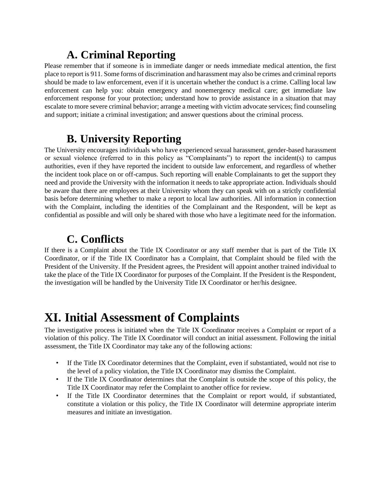## **A. Criminal Reporting**

Please remember that if someone is in immediate danger or needs immediate medical attention, the first place to report is 911. Some forms of discrimination and harassment may also be crimes and criminal reports should be made to law enforcement, even if it is uncertain whether the conduct is a crime. Calling local law enforcement can help you: obtain emergency and nonemergency medical care; get immediate law enforcement response for your protection; understand how to provide assistance in a situation that may escalate to more severe criminal behavior; arrange a meeting with victim advocate services; find counseling and support; initiate a criminal investigation; and answer questions about the criminal process.

### **B. University Reporting**

The University encourages individuals who have experienced sexual harassment, gender-based harassment or sexual violence (referred to in this policy as "Complainants") to report the incident(s) to campus authorities, even if they have reported the incident to outside law enforcement, and regardless of whether the incident took place on or off-campus. Such reporting will enable Complainants to get the support they need and provide the University with the information it needs to take appropriate action. Individuals should be aware that there are employees at their University whom they can speak with on a strictly confidential basis before determining whether to make a report to local law authorities. All information in connection with the Complaint, including the identities of the Complainant and the Respondent, will be kept as confidential as possible and will only be shared with those who have a legitimate need for the information.

## **C. Conflicts**

If there is a Complaint about the Title IX Coordinator or any staff member that is part of the Title IX Coordinator, or if the Title IX Coordinator has a Complaint, that Complaint should be filed with the President of the University. If the President agrees, the President will appoint another trained individual to take the place of the Title IX Coordinator for purposes of the Complaint. If the President is the Respondent, the investigation will be handled by the University Title IX Coordinator or her/his designee.

## **XI. Initial Assessment of Complaints**

The investigative process is initiated when the Title IX Coordinator receives a Complaint or report of a violation of this policy. The Title IX Coordinator will conduct an initial assessment. Following the initial assessment, the Title IX Coordinator may take any of the following actions:

- If the Title IX Coordinator determines that the Complaint, even if substantiated, would not rise to the level of a policy violation, the Title IX Coordinator may dismiss the Complaint.
- If the Title IX Coordinator determines that the Complaint is outside the scope of this policy, the Title IX Coordinator may refer the Complaint to another office for review.
- If the Title IX Coordinator determines that the Complaint or report would, if substantiated, constitute a violation or this policy, the Title IX Coordinator will determine appropriate interim measures and initiate an investigation.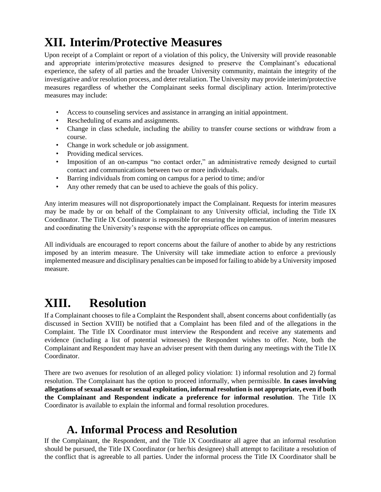# **XII. Interim/Protective Measures**

Upon receipt of a Complaint or report of a violation of this policy, the University will provide reasonable and appropriate interim/protective measures designed to preserve the Complainant's educational experience, the safety of all parties and the broader University community, maintain the integrity of the investigative and/or resolution process, and deter retaliation. The University may provide interim/protective measures regardless of whether the Complainant seeks formal disciplinary action. Interim/protective measures may include:

- Access to counseling services and assistance in arranging an initial appointment.
- Rescheduling of exams and assignments.
- Change in class schedule, including the ability to transfer course sections or withdraw from a course.
- Change in work schedule or job assignment.
- Providing medical services.
- Imposition of an on-campus "no contact order," an administrative remedy designed to curtail contact and communications between two or more individuals.
- Barring individuals from coming on campus for a period to time; and/or
- Any other remedy that can be used to achieve the goals of this policy.

Any interim measures will not disproportionately impact the Complainant. Requests for interim measures may be made by or on behalf of the Complainant to any University official, including the Title IX Coordinator. The Title IX Coordinator is responsible for ensuring the implementation of interim measures and coordinating the University's response with the appropriate offices on campus.

All individuals are encouraged to report concerns about the failure of another to abide by any restrictions imposed by an interim measure. The University will take immediate action to enforce a previously implemented measure and disciplinary penalties can be imposed for failing to abide by a University imposed measure.

## **XIII. Resolution**

If a Complainant chooses to file a Complaint the Respondent shall, absent concerns about confidentially (as discussed in Section XVIII) be notified that a Complaint has been filed and of the allegations in the Complaint. The Title IX Coordinator must interview the Respondent and receive any statements and evidence (including a list of potential witnesses) the Respondent wishes to offer. Note, both the Complainant and Respondent may have an adviser present with them during any meetings with the Title IX Coordinator.

There are two avenues for resolution of an alleged policy violation: 1) informal resolution and 2) formal resolution. The Complainant has the option to proceed informally, when permissible. **In cases involving allegations of sexual assault or sexual exploitation, informal resolution is not appropriate, even if both the Complainant and Respondent indicate a preference for informal resolution**. The Title IX Coordinator is available to explain the informal and formal resolution procedures.

### **A. Informal Process and Resolution**

If the Complainant, the Respondent, and the Title IX Coordinator all agree that an informal resolution should be pursued, the Title IX Coordinator (or her/his designee) shall attempt to facilitate a resolution of the conflict that is agreeable to all parties. Under the informal process the Title IX Coordinator shall be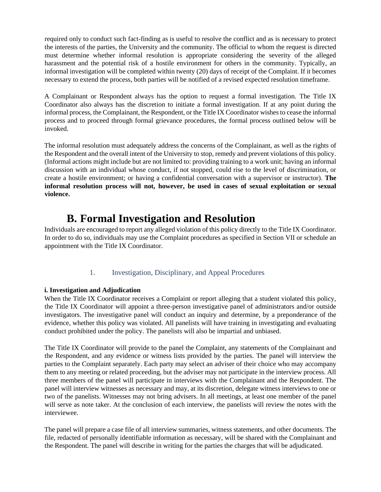required only to conduct such fact-finding as is useful to resolve the conflict and as is necessary to protect the interests of the parties, the University and the community. The official to whom the request is directed must determine whether informal resolution is appropriate considering the severity of the alleged harassment and the potential risk of a hostile environment for others in the community. Typically, an informal investigation will be completed within twenty (20) days of receipt of the Complaint. If it becomes necessary to extend the process, both parties will be notified of a revised expected resolution timeframe.

A Complainant or Respondent always has the option to request a formal investigation. The Title IX Coordinator also always has the discretion to initiate a formal investigation. If at any point during the informal process, the Complainant, the Respondent, or the Title IX Coordinator wishes to cease the informal process and to proceed through formal grievance procedures, the formal process outlined below will be invoked.

The informal resolution must adequately address the concerns of the Complainant, as well as the rights of the Respondent and the overall intent of the University to stop, remedy and prevent violations of this policy. (Informal actions might include but are not limited to: providing training to a work unit; having an informal discussion with an individual whose conduct, if not stopped, could rise to the level of discrimination, or create a hostile environment; or having a confidential conversation with a supervisor or instructor). **The informal resolution process will not, however, be used in cases of sexual exploitation or sexual violence.** 

### **B. Formal Investigation and Resolution**

Individuals are encouraged to report any alleged violation of this policy directly to the Title IX Coordinator. In order to do so, individuals may use the Complaint procedures as specified in Section VII or schedule an appointment with the Title IX Coordinator.

#### 1. Investigation, Disciplinary, and Appeal Procedures

#### **i. Investigation and Adjudication**

When the Title IX Coordinator receives a Complaint or report alleging that a student violated this policy, the Title IX Coordinator will appoint a three-person investigative panel of administrators and/or outside investigators. The investigative panel will conduct an inquiry and determine, by a preponderance of the evidence, whether this policy was violated. All panelists will have training in investigating and evaluating conduct prohibited under the policy. The panelists will also be impartial and unbiased.

The Title IX Coordinator will provide to the panel the Complaint, any statements of the Complainant and the Respondent, and any evidence or witness lists provided by the parties. The panel will interview the parties to the Complaint separately. Each party may select an adviser of their choice who may accompany them to any meeting or related proceeding, but the adviser may not participate in the interview process. All three members of the panel will participate in interviews with the Complainant and the Respondent. The panel will interview witnesses as necessary and may, at its discretion, delegate witness interviews to one or two of the panelists. Witnesses may not bring advisers. In all meetings, at least one member of the panel will serve as note taker. At the conclusion of each interview, the panelists will review the notes with the interviewee.

The panel will prepare a case file of all interview summaries, witness statements, and other documents. The file, redacted of personally identifiable information as necessary, will be shared with the Complainant and the Respondent. The panel will describe in writing for the parties the charges that will be adjudicated.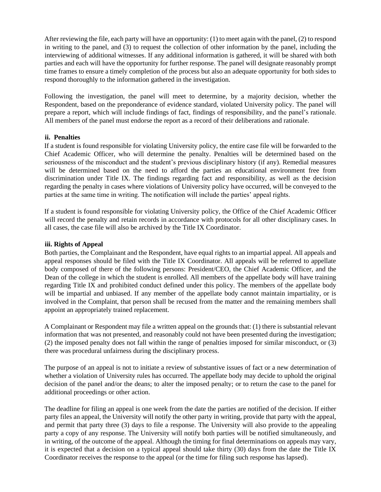After reviewing the file, each party will have an opportunity: (1) to meet again with the panel, (2) to respond in writing to the panel, and (3) to request the collection of other information by the panel, including the interviewing of additional witnesses. If any additional information is gathered, it will be shared with both parties and each will have the opportunity for further response. The panel will designate reasonably prompt time frames to ensure a timely completion of the process but also an adequate opportunity for both sides to respond thoroughly to the information gathered in the investigation.

Following the investigation, the panel will meet to determine, by a majority decision, whether the Respondent, based on the preponderance of evidence standard, violated University policy. The panel will prepare a report, which will include findings of fact, findings of responsibility, and the panel's rationale. All members of the panel must endorse the report as a record of their deliberations and rationale.

#### **ii. Penalties**

If a student is found responsible for violating University policy, the entire case file will be forwarded to the Chief Academic Officer, who will determine the penalty. Penalties will be determined based on the seriousness of the misconduct and the student's previous disciplinary history (if any). Remedial measures will be determined based on the need to afford the parties an educational environment free from discrimination under Title IX. The findings regarding fact and responsibility, as well as the decision regarding the penalty in cases where violations of University policy have occurred, will be conveyed to the parties at the same time in writing. The notification will include the parties' appeal rights.

If a student is found responsible for violating University policy, the Office of the Chief Academic Officer will record the penalty and retain records in accordance with protocols for all other disciplinary cases. In all cases, the case file will also be archived by the Title IX Coordinator.

#### **iii. Rights of Appeal**

Both parties, the Complainant and the Respondent, have equal rights to an impartial appeal. All appeals and appeal responses should be filed with the Title IX Coordinator. All appeals will be referred to appellate body composed of there of the following persons: President/CEO, the Chief Academic Officer, and the Dean of the college in which the student is enrolled. All members of the appellate body will have training regarding Title IX and prohibited conduct defined under this policy. The members of the appellate body will be impartial and unbiased. If any member of the appellate body cannot maintain impartiality, or is involved in the Complaint, that person shall be recused from the matter and the remaining members shall appoint an appropriately trained replacement.

A Complainant or Respondent may file a written appeal on the grounds that: (1) there is substantial relevant information that was not presented, and reasonably could not have been presented during the investigation; (2) the imposed penalty does not fall within the range of penalties imposed for similar misconduct, or (3) there was procedural unfairness during the disciplinary process.

The purpose of an appeal is not to initiate a review of substantive issues of fact or a new determination of whether a violation of University rules has occurred. The appellate body may decide to uphold the original decision of the panel and/or the deans; to alter the imposed penalty; or to return the case to the panel for additional proceedings or other action.

The deadline for filing an appeal is one week from the date the parties are notified of the decision. If either party files an appeal, the University will notify the other party in writing, provide that party with the appeal, and permit that party three (3) days to file a response. The University will also provide to the appealing party a copy of any response. The University will notify both parties will be notified simultaneously, and in writing, of the outcome of the appeal. Although the timing for final determinations on appeals may vary, it is expected that a decision on a typical appeal should take thirty (30) days from the date the Title IX Coordinator receives the response to the appeal (or the time for filing such response has lapsed).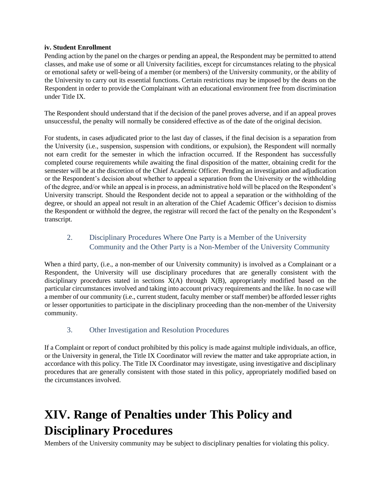#### **iv. Student Enrollment**

Pending action by the panel on the charges or pending an appeal, the Respondent may be permitted to attend classes, and make use of some or all University facilities, except for circumstances relating to the physical or emotional safety or well-being of a member (or members) of the University community, or the ability of the University to carry out its essential functions. Certain restrictions may be imposed by the deans on the Respondent in order to provide the Complainant with an educational environment free from discrimination under Title IX.

The Respondent should understand that if the decision of the panel proves adverse, and if an appeal proves unsuccessful, the penalty will normally be considered effective as of the date of the original decision.

For students, in cases adjudicated prior to the last day of classes, if the final decision is a separation from the University (i.e., suspension, suspension with conditions, or expulsion), the Respondent will normally not earn credit for the semester in which the infraction occurred. If the Respondent has successfully completed course requirements while awaiting the final disposition of the matter, obtaining credit for the semester will be at the discretion of the Chief Academic Officer. Pending an investigation and adjudication or the Respondent's decision about whether to appeal a separation from the University or the withholding of the degree, and/or while an appeal is in process, an administrative hold will be placed on the Respondent's University transcript. Should the Respondent decide not to appeal a separation or the withholding of the degree, or should an appeal not result in an alteration of the Chief Academic Officer's decision to dismiss the Respondent or withhold the degree, the registrar will record the fact of the penalty on the Respondent's transcript.

#### 2. Disciplinary Procedures Where One Party is a Member of the University Community and the Other Party is a Non-Member of the University Community

When a third party, (i.e., a non-member of our University community) is involved as a Complainant or a Respondent, the University will use disciplinary procedures that are generally consistent with the disciplinary procedures stated in sections  $X(A)$  through  $X(B)$ , appropriately modified based on the particular circumstances involved and taking into account privacy requirements and the like. In no case will a member of our community (i.e., current student, faculty member or staff member) be afforded lesser rights or lesser opportunities to participate in the disciplinary proceeding than the non-member of the University community.

#### 3. Other Investigation and Resolution Procedures

If a Complaint or report of conduct prohibited by this policy is made against multiple individuals, an office, or the University in general, the Title IX Coordinator will review the matter and take appropriate action, in accordance with this policy. The Title IX Coordinator may investigate, using investigative and disciplinary procedures that are generally consistent with those stated in this policy, appropriately modified based on the circumstances involved.

## **XIV. Range of Penalties under This Policy and Disciplinary Procedures**

Members of the University community may be subject to disciplinary penalties for violating this policy.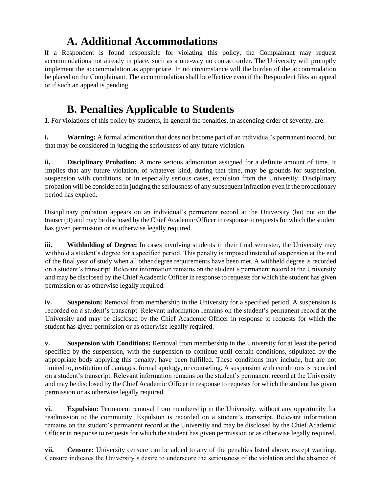### **A. Additional Accommodations**

If a Respondent is found responsible for violating this policy, the Complainant may request accommodations not already in place, such as a one-way no contact order. The University will promptly implement the accommodation as appropriate. In no circumstance will the burden of the accommodation be placed on the Complainant. The accommodation shall be effective even if the Respondent files an appeal or if such an appeal is pending.

### **B. Penalties Applicable to Students**

**1.** For violations of this policy by students, in general the penalties, in ascending order of severity, are:

**i. Warning:** A formal admonition that does not become part of an individual's permanent record, but that may be considered in judging the seriousness of any future violation.

**ii. Disciplinary Probation:** A more serious admonition assigned for a definite amount of time. It implies that any future violation, of whatever kind, during that time, may be grounds for suspension, suspension with conditions, or in especially serious cases, expulsion from the University. Disciplinary probation will be considered in judging the seriousness of any subsequent infraction even if the probationary period has expired.

Disciplinary probation appears on an individual's permanent record at the University (but not on the transcript) and may be disclosed by the Chief Academic Officer in response to requests for which the student has given permission or as otherwise legally required.

**iii. Withholding of Degree:** In cases involving students in their final semester, the University may withhold a student's degree for a specified period. This penalty is imposed instead of suspension at the end of the final year of study when all other degree requirements have been met. A withheld degree is recorded on a student's transcript. Relevant information remains on the student's permanent record at the University and may be disclosed by the Chief Academic Officer in response to requests for which the student has given permission or as otherwise legally required.

**iv. Suspension:** Removal from membership in the University for a specified period. A suspension is recorded on a student's transcript. Relevant information remains on the student's permanent record at the University and may be disclosed by the Chief Academic Officer in response to requests for which the student has given permission or as otherwise legally required.

**v. Suspension with Conditions:** Removal from membership in the University for at least the period specified by the suspension, with the suspension to continue until certain conditions, stipulated by the appropriate body applying this penalty, have been fulfilled. These conditions may include, but are not limited to, restitution of damages, formal apology, or counseling. A suspension with conditions is recorded on a student's transcript. Relevant information remains on the student's permanent record at the University and may be disclosed by the Chief Academic Officer in response to requests for which the student has given permission or as otherwise legally required.

**vi. Expulsion:** Permanent removal from membership in the University, without any opportunity for readmission to the community. Expulsion is recorded on a student's transcript. Relevant information remains on the student's permanent record at the University and may be disclosed by the Chief Academic Officer in response to requests for which the student has given permission or as otherwise legally required.

**vii. Censure:** University censure can be added to any of the penalties listed above, except warning. Censure indicates the University's desire to underscore the seriousness of the violation and the absence of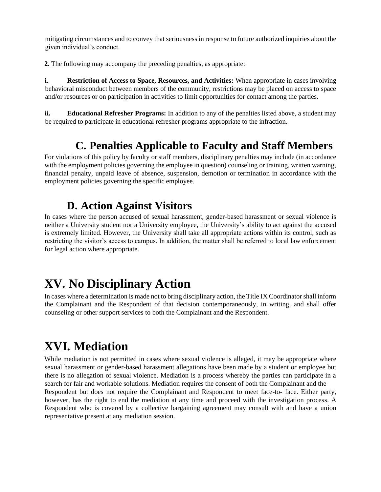mitigating circumstances and to convey that seriousness in response to future authorized inquiries about the given individual's conduct.

**2.** The following may accompany the preceding penalties, as appropriate:

**i. Restriction of Access to Space, Resources, and Activities:** When appropriate in cases involving behavioral misconduct between members of the community, restrictions may be placed on access to space and/or resources or on participation in activities to limit opportunities for contact among the parties.

**ii. Educational Refresher Programs:** In addition to any of the penalties listed above, a student may be required to participate in educational refresher programs appropriate to the infraction.

## **C. Penalties Applicable to Faculty and Staff Members**

For violations of this policy by faculty or staff members, disciplinary penalties may include (in accordance with the employment policies governing the employee in question) counseling or training, written warning, financial penalty, unpaid leave of absence, suspension, demotion or termination in accordance with the employment policies governing the specific employee.

### **D. Action Against Visitors**

In cases where the person accused of sexual harassment, gender-based harassment or sexual violence is neither a University student nor a University employee, the University's ability to act against the accused is extremely limited. However, the University shall take all appropriate actions within its control, such as restricting the visitor's access to campus. In addition, the matter shall be referred to local law enforcement for legal action where appropriate.

# **XV. No Disciplinary Action**

In cases where a determination is made not to bring disciplinary action, the Title IX Coordinator shall inform the Complainant and the Respondent of that decision contemporaneously, in writing, and shall offer counseling or other support services to both the Complainant and the Respondent.

# **XVI. Mediation**

While mediation is not permitted in cases where sexual violence is alleged, it may be appropriate where sexual harassment or gender-based harassment allegations have been made by a student or employee but there is no allegation of sexual violence. Mediation is a process whereby the parties can participate in a search for fair and workable solutions. Mediation requires the consent of both the Complainant and the Respondent but does not require the Complainant and Respondent to meet face-to- face. Either party, however, has the right to end the mediation at any time and proceed with the investigation process. A Respondent who is covered by a collective bargaining agreement may consult with and have a union representative present at any mediation session.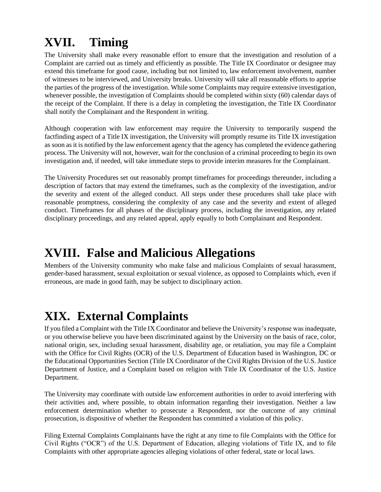# **XVII. Timing**

The University shall make every reasonable effort to ensure that the investigation and resolution of a Complaint are carried out as timely and efficiently as possible. The Title IX Coordinator or designee may extend this timeframe for good cause, including but not limited to, law enforcement involvement, number of witnesses to be interviewed, and University breaks. University will take all reasonable efforts to apprise the parties of the progress of the investigation. While some Complaints may require extensive investigation, whenever possible, the investigation of Complaints should be completed within sixty (60) calendar days of the receipt of the Complaint. If there is a delay in completing the investigation, the Title IX Coordinator shall notify the Complainant and the Respondent in writing.

Although cooperation with law enforcement may require the University to temporarily suspend the factfinding aspect of a Title IX investigation, the University will promptly resume its Title IX investigation as soon as it is notified by the law enforcement agency that the agency has completed the evidence gathering process. The University will not, however, wait for the conclusion of a criminal proceeding to begin its own investigation and, if needed, will take immediate steps to provide interim measures for the Complainant.

The University Procedures set out reasonably prompt timeframes for proceedings thereunder, including a description of factors that may extend the timeframes, such as the complexity of the investigation, and/or the severity and extent of the alleged conduct. All steps under these procedures shall take place with reasonable promptness, considering the complexity of any case and the severity and extent of alleged conduct. Timeframes for all phases of the disciplinary process, including the investigation, any related disciplinary proceedings, and any related appeal, apply equally to both Complainant and Respondent.

## **XVIII. False and Malicious Allegations**

Members of the University community who make false and malicious Complaints of sexual harassment, gender-based harassment, sexual exploitation or sexual violence, as opposed to Complaints which, even if erroneous, are made in good faith, may be subject to disciplinary action.

# **XIX. External Complaints**

If you filed a Complaint with the Title IX Coordinator and believe the University's response was inadequate, or you otherwise believe you have been discriminated against by the University on the basis of race, color, national origin, sex, including sexual harassment, disability age, or retaliation, you may file a Complaint with the Office for Civil Rights (OCR) of the U.S. Department of Education based in Washington, DC or the Educational Opportunities Section (Title IX Coordinator of the Civil Rights Division of the U.S. Justice Department of Justice, and a Complaint based on religion with Title IX Coordinator of the U.S. Justice Department.

The University may coordinate with outside law enforcement authorities in order to avoid interfering with their activities and, where possible, to obtain information regarding their investigation. Neither a law enforcement determination whether to prosecute a Respondent, nor the outcome of any criminal prosecution, is dispositive of whether the Respondent has committed a violation of this policy.

Filing External Complaints Complainants have the right at any time to file Complaints with the Office for Civil Rights ("OCR") of the U.S. Department of Education, alleging violations of Title IX, and to file Complaints with other appropriate agencies alleging violations of other federal, state or local laws.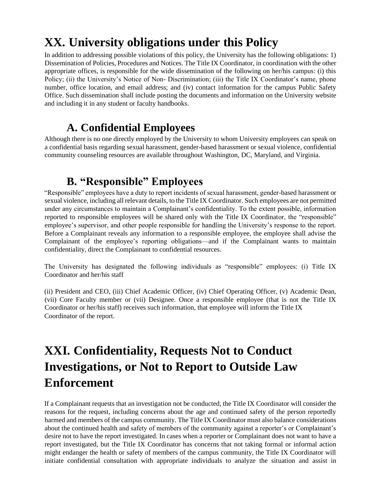## **XX. University obligations under this Policy**

In addition to addressing possible violations of this policy, the University has the following obligations: 1) Dissemination of Policies, Procedures and Notices. The Title IX Coordinator, in coordination with the other appropriate offices, is responsible for the wide dissemination of the following on her/his campus: (i) this Policy; (ii) the University's Notice of Non- Discrimination; (iii) the Title IX Coordinator's name, phone number, office location, and email address; and (iv) contact information for the campus Public Safety Office. Such dissemination shall include posting the documents and information on the University website and including it in any student or faculty handbooks.

### **A. Confidential Employees**

Although there is no one directly employed by the University to whom University employees can speak on a confidential basis regarding sexual harassment, gender-based harassment or sexual violence, confidential community counseling resources are available throughout Washington, DC, Maryland, and Virginia.

### **B. "Responsible" Employees**

"Responsible" employees have a duty to report incidents of sexual harassment, gender-based harassment or sexual violence, including all relevant details, to the Title IX Coordinator. Such employees are not permitted under any circumstances to maintain a Complainant's confidentiality. To the extent possible, information reported to responsible employees will be shared only with the Title IX Coordinator, the "responsible" employee's supervisor, and other people responsible for handling the University's response to the report. Before a Complainant reveals any information to a responsible employee, the employee shall advise the Complainant of the employee's reporting obligations—and if the Complainant wants to maintain confidentiality, direct the Complainant to confidential resources.

The University has designated the following individuals as "responsible" employees: (i) Title IX Coordinator and her/his staff

(ii) President and CEO, (iii) Chief Academic Officer, (iv) Chief Operating Officer, (v) Academic Dean, (vii) Core Faculty member or (vii) Designee. Once a responsible employee (that is not the Title IX Coordinator or her/his staff) receives such information, that employee will inform the Title IX Coordinator of the report.

## **XXI. Confidentiality, Requests Not to Conduct Investigations, or Not to Report to Outside Law Enforcement**

If a Complainant requests that an investigation not be conducted, the Title IX Coordinator will consider the reasons for the request, including concerns about the age and continued safety of the person reportedly harmed and members of the campus community. The Title IX Coordinator must also balance considerations about the continued health and safety of members of the community against a reporter's or Complainant's desire not to have the report investigated. In cases when a reporter or Complainant does not want to have a report investigated, but the Title IX Coordinator has concerns that not taking formal or informal action might endanger the health or safety of members of the campus community, the Title IX Coordinator will initiate confidential consultation with appropriate individuals to analyze the situation and assist in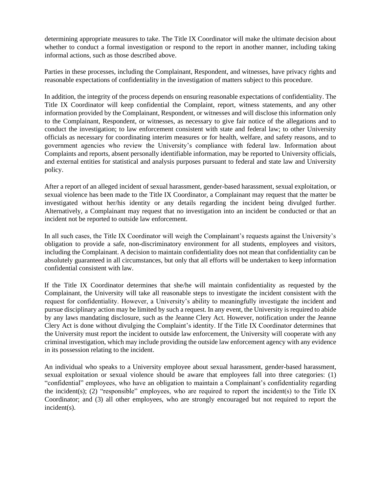determining appropriate measures to take. The Title IX Coordinator will make the ultimate decision about whether to conduct a formal investigation or respond to the report in another manner, including taking informal actions, such as those described above.

Parties in these processes, including the Complainant, Respondent, and witnesses, have privacy rights and reasonable expectations of confidentiality in the investigation of matters subject to this procedure.

In addition, the integrity of the process depends on ensuring reasonable expectations of confidentiality. The Title IX Coordinator will keep confidential the Complaint, report, witness statements, and any other information provided by the Complainant, Respondent, or witnesses and will disclose this information only to the Complainant, Respondent, or witnesses, as necessary to give fair notice of the allegations and to conduct the investigation; to law enforcement consistent with state and federal law; to other University officials as necessary for coordinating interim measures or for health, welfare, and safety reasons, and to government agencies who review the University's compliance with federal law. Information about Complaints and reports, absent personally identifiable information, may be reported to University officials, and external entities for statistical and analysis purposes pursuant to federal and state law and University policy.

After a report of an alleged incident of sexual harassment, gender-based harassment, sexual exploitation, or sexual violence has been made to the Title IX Coordinator, a Complainant may request that the matter be investigated without her/his identity or any details regarding the incident being divulged further. Alternatively, a Complainant may request that no investigation into an incident be conducted or that an incident not be reported to outside law enforcement.

In all such cases, the Title IX Coordinator will weigh the Complainant's requests against the University's obligation to provide a safe, non-discriminatory environment for all students, employees and visitors, including the Complainant. A decision to maintain confidentiality does not mean that confidentiality can be absolutely guaranteed in all circumstances, but only that all efforts will be undertaken to keep information confidential consistent with law.

If the Title IX Coordinator determines that she/he will maintain confidentiality as requested by the Complainant, the University will take all reasonable steps to investigate the incident consistent with the request for confidentiality. However, a University's ability to meaningfully investigate the incident and pursue disciplinary action may be limited by such a request. In any event, the University is required to abide by any laws mandating disclosure, such as the Jeanne Clery Act. However, notification under the Jeanne Clery Act is done without divulging the Complaint's identity. If the Title IX Coordinator determines that the University must report the incident to outside law enforcement, the University will cooperate with any criminal investigation, which may include providing the outside law enforcement agency with any evidence in its possession relating to the incident.

An individual who speaks to a University employee about sexual harassment, gender-based harassment, sexual exploitation or sexual violence should be aware that employees fall into three categories: (1) "confidential" employees, who have an obligation to maintain a Complainant's confidentiality regarding the incident(s); (2) "responsible" employees, who are required to report the incident(s) to the Title IX Coordinator; and (3) all other employees, who are strongly encouraged but not required to report the incident(s).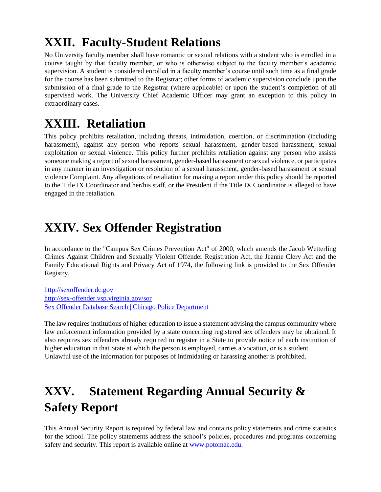# **XXII. Faculty-Student Relations**

No University faculty member shall have romantic or sexual relations with a student who is enrolled in a course taught by that faculty member, or who is otherwise subject to the faculty member's academic supervision. A student is considered enrolled in a faculty member's course until such time as a final grade for the course has been submitted to the Registrar; other forms of academic supervision conclude upon the submission of a final grade to the Registrar (where applicable) or upon the student's completion of all supervised work. The University Chief Academic Officer may grant an exception to this policy in extraordinary cases.

## **XXIII. Retaliation**

This policy prohibits retaliation, including threats, intimidation, coercion, or discrimination (including harassment), against any person who reports sexual harassment, gender-based harassment, sexual exploitation or sexual violence. This policy further prohibits retaliation against any person who assists someone making a report of sexual harassment, gender-based harassment or sexual violence, or participates in any manner in an investigation or resolution of a sexual harassment, gender-based harassment or sexual violence Complaint. Any allegations of retaliation for making a report under this policy should be reported to the Title IX Coordinator and her/his staff, or the President if the Title IX Coordinator is alleged to have engaged in the retaliation.

## **XXIV. Sex Offender Registration**

In accordance to the "Campus Sex Crimes Prevention Act" of 2000, which amends the Jacob Wetterling Crimes Against Children and Sexually Violent Offender Registration Act, the Jeanne Clery Act and the Family Educational Rights and Privacy Act of 1974, the following link is provided to the Sex Offender Registry.

[http://sexoffender.dc.gov](http://sexoffender.dc.gov/) <http://sex-offender.vsp.virginia.gov/sor> [Sex Offender Database Search | Chicago Police Department](https://home.chicagopolice.org/services/sex-offender-database-search/)

The law requires institutions of higher education to issue a statement advising the campus community where law enforcement information provided by a state concerning registered sex offenders may be obtained. It also requires sex offenders already required to register in a State to provide notice of each institution of higher education in that State at which the person is employed, carries a vocation, or is a student. Unlawful use of the information for purposes of intimidating or harassing another is prohibited.

# **XXV. Statement Regarding Annual Security & Safety Report**

This Annual Security Report is required by federal law and contains policy statements and crime statistics for the school. The policy statements address the school's policies, procedures and programs concerning safety and security. This report is available online at [www.potomac.edu.](http://www.potomac.edu/)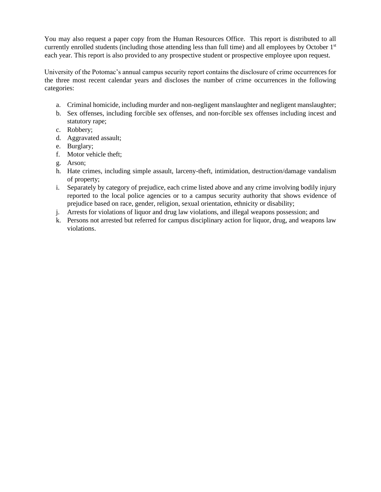You may also request a paper copy from the Human Resources Office. This report is distributed to all currently enrolled students (including those attending less than full time) and all employees by October  $1<sup>st</sup>$ each year. This report is also provided to any prospective student or prospective employee upon request.

University of the Potomac's annual campus security report contains the disclosure of crime occurrences for the three most recent calendar years and discloses the number of crime occurrences in the following categories:

- a. Criminal homicide, including murder and non-negligent manslaughter and negligent manslaughter;
- b. Sex offenses, including forcible sex offenses, and non-forcible sex offenses including incest and statutory rape;
- c. Robbery;
- d. Aggravated assault;
- e. Burglary;
- f. Motor vehicle theft;
- g. Arson;
- h. Hate crimes, including simple assault, larceny-theft, intimidation, destruction/damage vandalism of property;
- i. Separately by category of prejudice, each crime listed above and any crime involving bodily injury reported to the local police agencies or to a campus security authority that shows evidence of prejudice based on race, gender, religion, sexual orientation, ethnicity or disability;
- j. Arrests for violations of liquor and drug law violations, and illegal weapons possession; and
- k. Persons not arrested but referred for campus disciplinary action for liquor, drug, and weapons law violations.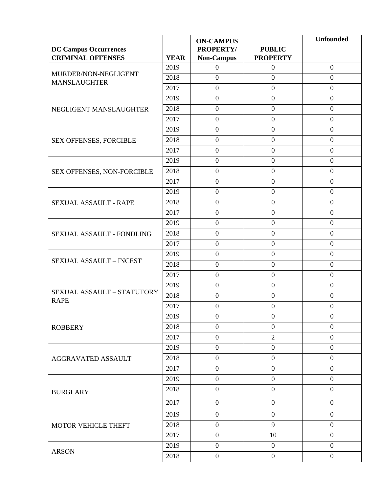|                                           |             | <b>ON-CAMPUS</b>  |                  | <b>Unfounded</b> |
|-------------------------------------------|-------------|-------------------|------------------|------------------|
| <b>DC Campus Occurrences</b>              |             | <b>PROPERTY/</b>  | <b>PUBLIC</b>    |                  |
| <b>CRIMINAL OFFENSES</b>                  | <b>YEAR</b> | <b>Non-Campus</b> | <b>PROPERTY</b>  |                  |
| MURDER/NON-NEGLIGENT                      | 2019        | $\boldsymbol{0}$  | $\mathbf{0}$     | $\overline{0}$   |
| <b>MANSLAUGHTER</b>                       | 2018        | $\overline{0}$    | $\overline{0}$   | $\overline{0}$   |
|                                           | 2017        | $\boldsymbol{0}$  | $\boldsymbol{0}$ | $\boldsymbol{0}$ |
|                                           | 2019        | $\boldsymbol{0}$  | $\boldsymbol{0}$ | $\boldsymbol{0}$ |
| NEGLIGENT MANSLAUGHTER                    | 2018        | $\boldsymbol{0}$  | $\boldsymbol{0}$ | $\boldsymbol{0}$ |
|                                           | 2017        | $\overline{0}$    | $\boldsymbol{0}$ | $\boldsymbol{0}$ |
|                                           | 2019        | $\overline{0}$    | $\boldsymbol{0}$ | $\boldsymbol{0}$ |
| SEX OFFENSES, FORCIBLE                    | 2018        | $\boldsymbol{0}$  | $\boldsymbol{0}$ | $\boldsymbol{0}$ |
|                                           | 2017        | $\boldsymbol{0}$  | $\boldsymbol{0}$ | $\boldsymbol{0}$ |
|                                           | 2019        | $\boldsymbol{0}$  | $\boldsymbol{0}$ | $\boldsymbol{0}$ |
| SEX OFFENSES, NON-FORCIBLE                | 2018        | $\boldsymbol{0}$  | $\boldsymbol{0}$ | $\overline{0}$   |
|                                           | 2017        | $\boldsymbol{0}$  | $\boldsymbol{0}$ | $\boldsymbol{0}$ |
|                                           | 2019        | $\boldsymbol{0}$  | $\boldsymbol{0}$ | $\boldsymbol{0}$ |
| <b>SEXUAL ASSAULT - RAPE</b>              | 2018        | $\boldsymbol{0}$  | $\boldsymbol{0}$ | $\boldsymbol{0}$ |
|                                           | 2017        | $\boldsymbol{0}$  | $\boldsymbol{0}$ | $\boldsymbol{0}$ |
|                                           | 2019        | $\boldsymbol{0}$  | $\overline{0}$   | $\overline{0}$   |
| SEXUAL ASSAULT - FONDLING                 | 2018        | $\boldsymbol{0}$  | $\boldsymbol{0}$ | $\boldsymbol{0}$ |
|                                           | 2017        | $\boldsymbol{0}$  | $\boldsymbol{0}$ | $\boldsymbol{0}$ |
|                                           | 2019        | $\boldsymbol{0}$  | $\boldsymbol{0}$ | $\boldsymbol{0}$ |
| <b>SEXUAL ASSAULT - INCEST</b>            | 2018        | $\boldsymbol{0}$  | $\overline{0}$   | $\boldsymbol{0}$ |
|                                           | 2017        | $\overline{0}$    | $\boldsymbol{0}$ | $\boldsymbol{0}$ |
| SEXUAL ASSAULT - STATUTORY<br><b>RAPE</b> | 2019        | $\boldsymbol{0}$  | $\boldsymbol{0}$ | $\boldsymbol{0}$ |
|                                           | 2018        | $\boldsymbol{0}$  | $\boldsymbol{0}$ | $\boldsymbol{0}$ |
|                                           | 2017        | $\overline{0}$    | $\boldsymbol{0}$ | $\boldsymbol{0}$ |
|                                           | 2019        | $\boldsymbol{0}$  | $\boldsymbol{0}$ | $\boldsymbol{0}$ |
| <b>ROBBERY</b>                            | 2018        | $\boldsymbol{0}$  | $\boldsymbol{0}$ | $\boldsymbol{0}$ |
|                                           | 2017        | $\boldsymbol{0}$  | $\overline{2}$   | $\boldsymbol{0}$ |
|                                           | 2019        | $\boldsymbol{0}$  | $\boldsymbol{0}$ | $\boldsymbol{0}$ |
| <b>AGGRAVATED ASSAULT</b>                 | 2018        | $\boldsymbol{0}$  | $\boldsymbol{0}$ | $\boldsymbol{0}$ |
|                                           | 2017        | $\boldsymbol{0}$  | $\boldsymbol{0}$ | $\overline{0}$   |
|                                           | 2019        | $\boldsymbol{0}$  | $\boldsymbol{0}$ | $\boldsymbol{0}$ |
|                                           | 2018        | $\boldsymbol{0}$  | $\boldsymbol{0}$ | $\boldsymbol{0}$ |
| <b>BURGLARY</b>                           |             |                   |                  |                  |
|                                           | 2017        | $\overline{0}$    | $\overline{0}$   | $\boldsymbol{0}$ |
|                                           | 2019        | $\boldsymbol{0}$  | $\boldsymbol{0}$ | $\boldsymbol{0}$ |
| MOTOR VEHICLE THEFT                       | 2018        | $\mathbf{0}$      | 9                | $\boldsymbol{0}$ |
|                                           | 2017        | $\boldsymbol{0}$  | 10               | $\boldsymbol{0}$ |
|                                           | 2019        | $\boldsymbol{0}$  | $\boldsymbol{0}$ | $\boldsymbol{0}$ |
| <b>ARSON</b>                              | 2018        | $\overline{0}$    | $\boldsymbol{0}$ | $\boldsymbol{0}$ |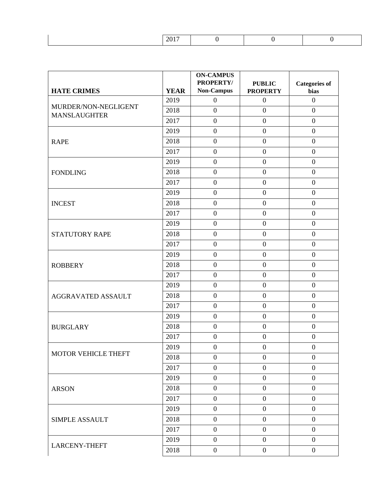| ____ |  |  |
|------|--|--|
|      |  |  |

| <b>HATE CRIMES</b>                          | <b>YEAR</b> | <b>ON-CAMPUS</b><br><b>PROPERTY/</b><br><b>Non-Campus</b> | <b>PUBLIC</b><br><b>PROPERTY</b> | <b>Categories of</b><br>bias |
|---------------------------------------------|-------------|-----------------------------------------------------------|----------------------------------|------------------------------|
|                                             | 2019        | $\overline{0}$                                            | $\boldsymbol{0}$                 | $\boldsymbol{0}$             |
| MURDER/NON-NEGLIGENT<br><b>MANSLAUGHTER</b> | 2018        | $\overline{0}$                                            | $\overline{0}$                   | $\overline{0}$               |
|                                             | 2017        | $\boldsymbol{0}$                                          | $\boldsymbol{0}$                 | $\boldsymbol{0}$             |
|                                             | 2019        | $\boldsymbol{0}$                                          | $\boldsymbol{0}$                 | $\boldsymbol{0}$             |
| <b>RAPE</b>                                 | 2018        | $\boldsymbol{0}$                                          | $\overline{0}$                   | $\overline{0}$               |
|                                             | 2017        | $\boldsymbol{0}$                                          | $\boldsymbol{0}$                 | $\boldsymbol{0}$             |
|                                             | 2019        | $\overline{0}$                                            | $\overline{0}$                   | $\overline{0}$               |
| <b>FONDLING</b>                             | 2018        | $\boldsymbol{0}$                                          | $\boldsymbol{0}$                 | $\boldsymbol{0}$             |
|                                             | 2017        | $\boldsymbol{0}$                                          | $\boldsymbol{0}$                 | $\boldsymbol{0}$             |
|                                             | 2019        | $\overline{0}$                                            | $\overline{0}$                   | $\overline{0}$               |
| <b>INCEST</b>                               | 2018        | $\boldsymbol{0}$                                          | $\boldsymbol{0}$                 | $\overline{0}$               |
|                                             | 2017        | $\boldsymbol{0}$                                          | $\boldsymbol{0}$                 | $\boldsymbol{0}$             |
|                                             | 2019        | $\boldsymbol{0}$                                          | $\boldsymbol{0}$                 | $\boldsymbol{0}$             |
| <b>STATUTORY RAPE</b>                       | 2018        | $\boldsymbol{0}$                                          | $\boldsymbol{0}$                 | $\boldsymbol{0}$             |
|                                             | 2017        | $\boldsymbol{0}$                                          | $\boldsymbol{0}$                 | $\boldsymbol{0}$             |
|                                             | 2019        | $\boldsymbol{0}$                                          | $\boldsymbol{0}$                 | $\boldsymbol{0}$             |
| <b>ROBBERY</b>                              | 2018        | $\boldsymbol{0}$                                          | $\boldsymbol{0}$                 | $\boldsymbol{0}$             |
|                                             | 2017        | $\boldsymbol{0}$                                          | $\overline{0}$                   | $\overline{0}$               |
|                                             | 2019        | $\boldsymbol{0}$                                          | $\boldsymbol{0}$                 | $\overline{0}$               |
| <b>AGGRAVATED ASSAULT</b>                   | 2018        | $\boldsymbol{0}$                                          | $\overline{0}$                   | $\boldsymbol{0}$             |
|                                             | 2017        | $\boldsymbol{0}$                                          | $\boldsymbol{0}$                 | $\overline{0}$               |
|                                             | 2019        | $\boldsymbol{0}$                                          | $\boldsymbol{0}$                 | $\boldsymbol{0}$             |
| <b>BURGLARY</b>                             | 2018        | $\overline{0}$                                            | $\boldsymbol{0}$                 | $\boldsymbol{0}$             |
|                                             | 2017        | $\boldsymbol{0}$                                          | $\boldsymbol{0}$                 | $\boldsymbol{0}$             |
|                                             | 2019        | $\overline{0}$                                            | $\boldsymbol{0}$                 | $\overline{0}$               |
| <b>MOTOR VEHICLE THEFT</b>                  | 2018        | $\boldsymbol{0}$                                          | $\boldsymbol{0}$                 | $\overline{0}$               |
|                                             | 2017        | $\overline{0}$                                            | $\overline{0}$                   | $\overline{0}$               |
|                                             | 2019        | $\boldsymbol{0}$                                          | $\boldsymbol{0}$                 | $\overline{0}$               |
| <b>ARSON</b>                                | 2018        | $\overline{0}$                                            | $\boldsymbol{0}$                 | $\boldsymbol{0}$             |
|                                             | 2017        | $\boldsymbol{0}$                                          | $\overline{0}$                   | $\mathbf{0}$                 |
|                                             | 2019        | $\boldsymbol{0}$                                          | $\overline{0}$                   | $\overline{0}$               |
| <b>SIMPLE ASSAULT</b>                       | 2018        | $\boldsymbol{0}$                                          | $\overline{0}$                   | $\overline{0}$               |
|                                             | 2017        | $\overline{0}$                                            | $\boldsymbol{0}$                 | $\boldsymbol{0}$             |
|                                             | 2019        | $\overline{0}$                                            | $\boldsymbol{0}$                 | $\overline{0}$               |
| <b>LARCENY-THEFT</b>                        | 2018        | $\boldsymbol{0}$                                          | $\boldsymbol{0}$                 | $\boldsymbol{0}$             |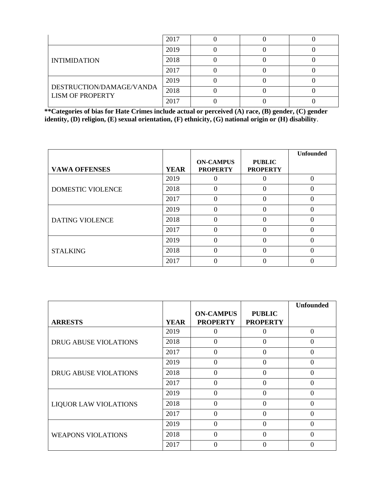|                                                     | 2017 |  |  |
|-----------------------------------------------------|------|--|--|
|                                                     | 2019 |  |  |
| <b>INTIMIDATION</b>                                 | 2018 |  |  |
|                                                     | 2017 |  |  |
|                                                     | 2019 |  |  |
| DESTRUCTION/DAMAGE/VANDA<br><b>LISM OF PROPERTY</b> | 2018 |  |  |
|                                                     | 2017 |  |  |

**\*\*Categories of bias for Hate Crimes include actual or perceived (A) race, (B) gender, (C) gender identity, (D) religion, (E) sexual orientation, (F) ethnicity, (G) national origin or (H) disability**.

|                        |             |                                     |                                  | <b>Unfounded</b> |
|------------------------|-------------|-------------------------------------|----------------------------------|------------------|
| <b>VAWA OFFENSES</b>   | <b>YEAR</b> | <b>ON-CAMPUS</b><br><b>PROPERTY</b> | <b>PUBLIC</b><br><b>PROPERTY</b> |                  |
|                        | 2019        |                                     |                                  |                  |
| DOMESTIC VIOLENCE      | 2018        |                                     | 0                                |                  |
|                        | 2017        | 0                                   | 0                                |                  |
| <b>DATING VIOLENCE</b> | 2019        | 0                                   | 0                                |                  |
|                        | 2018        |                                     |                                  |                  |
|                        | 2017        |                                     | $\Omega$                         |                  |
|                        | 2019        | 0                                   | 0                                |                  |
| <b>STALKING</b>        | 2018        | 0                                   | 0                                |                  |
|                        | 2017        |                                     |                                  |                  |

|                              |             |                                     |                                  | <b>Unfounded</b> |
|------------------------------|-------------|-------------------------------------|----------------------------------|------------------|
| <b>ARRESTS</b>               | <b>YEAR</b> | <b>ON-CAMPUS</b><br><b>PROPERTY</b> | <b>PUBLIC</b><br><b>PROPERTY</b> |                  |
|                              | 2019        | 0                                   |                                  | $\Omega$         |
| <b>DRUG ABUSE VIOLATIONS</b> | 2018        | $\Omega$                            | 0                                | 0                |
|                              | 2017        | $\Omega$                            | 0                                | 0                |
|                              | 2019        | 0                                   | 0                                | 0                |
| <b>DRUG ABUSE VIOLATIONS</b> | 2018        | $\Omega$                            | $\Omega$                         | $\theta$         |
|                              | 2017        | 0                                   | 0                                | 0                |
|                              | 2019        | $\Omega$                            | $\Omega$                         | $\theta$         |
| <b>LIQUOR LAW VIOLATIONS</b> | 2018        | $\Omega$                            | 0                                | 0                |
|                              | 2017        | $\Omega$                            | 0                                | 0                |
|                              | 2019        | $\Omega$                            | 0                                | 0                |
| <b>WEAPONS VIOLATIONS</b>    | 2018        | 0                                   | 0                                | 0                |
|                              | 2017        | 0                                   | 0                                |                  |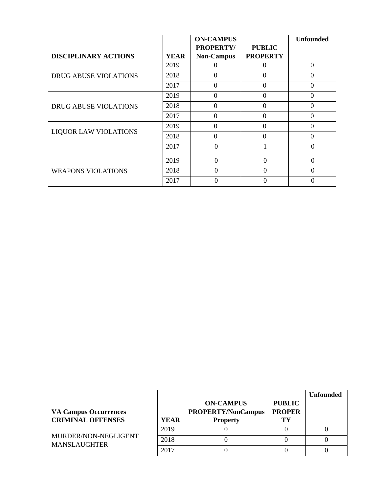|                              |             | <b>ON-CAMPUS</b>                      |                                  | <b>Unfounded</b> |
|------------------------------|-------------|---------------------------------------|----------------------------------|------------------|
| <b>DISCIPLINARY ACTIONS</b>  | <b>YEAR</b> | <b>PROPERTY/</b><br><b>Non-Campus</b> | <b>PUBLIC</b><br><b>PROPERTY</b> |                  |
|                              | 2019        |                                       |                                  | $\Omega$         |
| <b>DRUG ABUSE VIOLATIONS</b> | 2018        | $\Omega$                              | $\theta$                         | $\overline{0}$   |
|                              | 2017        | $\Omega$                              | $\theta$                         | $\theta$         |
| <b>DRUG ABUSE VIOLATIONS</b> | 2019        | $\Omega$                              | $\Omega$                         | $\Omega$         |
|                              | 2018        | 0                                     | $\theta$                         | $\Omega$         |
|                              | 2017        | $\theta$                              | $\theta$                         | $\theta$         |
|                              | 2019        | 0                                     | $\theta$                         | 0                |
| <b>LIQUOR LAW VIOLATIONS</b> | 2018        | $\theta$                              | $\theta$                         | $\theta$         |
|                              | 2017        | 0                                     |                                  | 0                |
|                              | 2019        | $\Omega$                              | $\Omega$                         | $\Omega$         |
| <b>WEAPONS VIOLATIONS</b>    | 2018        | 0                                     | $\Omega$                         | 0                |
|                              | 2017        | $\Omega$                              |                                  |                  |

|                                             |             |                                               |                                | <b>Unfounded</b> |
|---------------------------------------------|-------------|-----------------------------------------------|--------------------------------|------------------|
| <b>VA Campus Occurrences</b>                |             | <b>ON-CAMPUS</b><br><b>PROPERTY/NonCampus</b> | <b>PUBLIC</b><br><b>PROPER</b> |                  |
| <b>CRIMINAL OFFENSES</b>                    | <b>YEAR</b> | <b>Property</b>                               | TV                             |                  |
| MURDER/NON-NEGLIGENT<br><b>MANSLAUGHTER</b> | 2019        |                                               |                                |                  |
|                                             | 2018        |                                               |                                |                  |
|                                             | 2017        |                                               |                                |                  |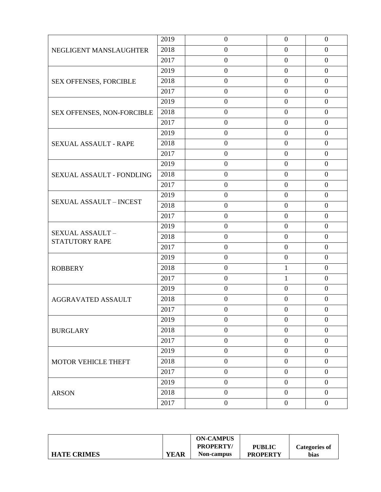|                                   | 2019 | $\boldsymbol{0}$ | $\boldsymbol{0}$ | $\overline{0}$   |
|-----------------------------------|------|------------------|------------------|------------------|
| NEGLIGENT MANSLAUGHTER            | 2018 | $\mathbf{0}$     | $\boldsymbol{0}$ | $\boldsymbol{0}$ |
|                                   | 2017 | $\boldsymbol{0}$ | $\boldsymbol{0}$ | $\boldsymbol{0}$ |
|                                   | 2019 | $\boldsymbol{0}$ | $\boldsymbol{0}$ | $\overline{0}$   |
| SEX OFFENSES, FORCIBLE            | 2018 | $\boldsymbol{0}$ | $\overline{0}$   | $\overline{0}$   |
|                                   | 2017 | $\boldsymbol{0}$ | $\boldsymbol{0}$ | $\mathbf{0}$     |
|                                   | 2019 | $\boldsymbol{0}$ | $\boldsymbol{0}$ | $\mathbf{0}$     |
| SEX OFFENSES, NON-FORCIBLE        | 2018 | $\mathbf{0}$     | $\boldsymbol{0}$ | $\overline{0}$   |
|                                   | 2017 | $\boldsymbol{0}$ | $\overline{0}$   | $\boldsymbol{0}$ |
|                                   | 2019 | $\mathbf{0}$     | $\overline{0}$   | $\overline{0}$   |
| SEXUAL ASSAULT - RAPE             | 2018 | $\boldsymbol{0}$ | $\boldsymbol{0}$ | $\overline{0}$   |
|                                   | 2017 | $\boldsymbol{0}$ | $\boldsymbol{0}$ | $\mathbf{0}$     |
|                                   | 2019 | $\boldsymbol{0}$ | $\boldsymbol{0}$ | $\overline{0}$   |
| SEXUAL ASSAULT - FONDLING         | 2018 | $\boldsymbol{0}$ | $\boldsymbol{0}$ | $\overline{0}$   |
|                                   | 2017 | $\mathbf{0}$     | $\overline{0}$   | $\overline{0}$   |
|                                   | 2019 | $\boldsymbol{0}$ | $\boldsymbol{0}$ | $\overline{0}$   |
| <b>SEXUAL ASSAULT - INCEST</b>    | 2018 | $\boldsymbol{0}$ | $\boldsymbol{0}$ | $\boldsymbol{0}$ |
|                                   | 2017 | $\boldsymbol{0}$ | $\boldsymbol{0}$ | $\overline{0}$   |
|                                   | 2019 | $\boldsymbol{0}$ | $\boldsymbol{0}$ | $\overline{0}$   |
| SEXUAL ASSAULT-<br>STATUTORY RAPE | 2018 | $\boldsymbol{0}$ | $\boldsymbol{0}$ | $\overline{0}$   |
|                                   | 2017 | $\boldsymbol{0}$ | $\boldsymbol{0}$ | $\mathbf{0}$     |
|                                   | 2019 | $\boldsymbol{0}$ | $\mathbf{0}$     | $\overline{0}$   |
| <b>ROBBERY</b>                    | 2018 | $\boldsymbol{0}$ | $\mathbf{1}$     | $\boldsymbol{0}$ |
|                                   | 2017 | $\boldsymbol{0}$ | $\mathbf{1}$     | $\overline{0}$   |
|                                   | 2019 | $\mathbf{0}$     | $\overline{0}$   | $\overline{0}$   |
| <b>AGGRAVATED ASSAULT</b>         | 2018 | $\boldsymbol{0}$ | $\boldsymbol{0}$ | $\overline{0}$   |
|                                   | 2017 | $\mathbf{0}$     | $\boldsymbol{0}$ | $\overline{0}$   |
|                                   | 2019 | $\boldsymbol{0}$ | $\overline{0}$   | $\boldsymbol{0}$ |
| <b>BURGLARY</b>                   | 2018 | $\boldsymbol{0}$ | $\boldsymbol{0}$ | $\overline{0}$   |
|                                   | 2017 | $\boldsymbol{0}$ | $\boldsymbol{0}$ | $\boldsymbol{0}$ |
|                                   | 2019 | $\boldsymbol{0}$ | $\boldsymbol{0}$ | $\boldsymbol{0}$ |
| MOTOR VEHICLE THEFT               | 2018 | $\boldsymbol{0}$ | $\boldsymbol{0}$ | $\boldsymbol{0}$ |
|                                   | 2017 | $\overline{0}$   | $\overline{0}$   | $\overline{0}$   |
|                                   | 2019 | $\boldsymbol{0}$ | $\boldsymbol{0}$ | $\boldsymbol{0}$ |
| <b>ARSON</b>                      | 2018 | $\boldsymbol{0}$ | $\boldsymbol{0}$ | $\boldsymbol{0}$ |
|                                   | 2017 | $\boldsymbol{0}$ | $\boldsymbol{0}$ | $\overline{0}$   |

|                    |             | <b>ON-CAMPUS</b> |                 |               |
|--------------------|-------------|------------------|-----------------|---------------|
|                    |             | <b>PROPERTY/</b> | <b>PUBLIC</b>   | Categories of |
| <b>HATE CRIMES</b> | <b>YEAR</b> | Non-campus       | <b>PROPERTY</b> | bias          |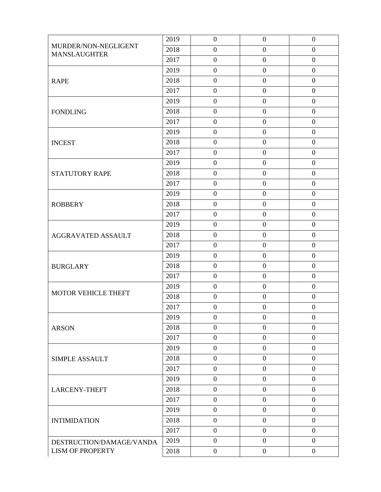|                                             | 2019 | $\boldsymbol{0}$ | $\boldsymbol{0}$ | $\boldsymbol{0}$ |
|---------------------------------------------|------|------------------|------------------|------------------|
| MURDER/NON-NEGLIGENT<br><b>MANSLAUGHTER</b> | 2018 | $\boldsymbol{0}$ | $\boldsymbol{0}$ | $\boldsymbol{0}$ |
|                                             | 2017 | $\boldsymbol{0}$ | $\overline{0}$   | $\overline{0}$   |
|                                             | 2019 | $\boldsymbol{0}$ | $\boldsymbol{0}$ | $\boldsymbol{0}$ |
| <b>RAPE</b>                                 | 2018 | $\boldsymbol{0}$ | $\boldsymbol{0}$ | $\boldsymbol{0}$ |
|                                             | 2017 | $\boldsymbol{0}$ | $\boldsymbol{0}$ | $\boldsymbol{0}$ |
|                                             | 2019 | $\boldsymbol{0}$ | $\boldsymbol{0}$ | $\boldsymbol{0}$ |
| <b>FONDLING</b>                             | 2018 | $\boldsymbol{0}$ | $\mathbf{0}$     | $\boldsymbol{0}$ |
|                                             | 2017 | $\boldsymbol{0}$ | $\mathbf{0}$     | $\boldsymbol{0}$ |
|                                             | 2019 | $\boldsymbol{0}$ | $\boldsymbol{0}$ | $\boldsymbol{0}$ |
| <b>INCEST</b>                               | 2018 | $\overline{0}$   | $\boldsymbol{0}$ | $\overline{0}$   |
|                                             | 2017 | $\boldsymbol{0}$ | $\boldsymbol{0}$ | $\boldsymbol{0}$ |
|                                             | 2019 | $\boldsymbol{0}$ | $\mathbf{0}$     | $\boldsymbol{0}$ |
| STATUTORY RAPE                              | 2018 | $\boldsymbol{0}$ | $\boldsymbol{0}$ | $\overline{0}$   |
|                                             | 2017 | $\boldsymbol{0}$ | $\boldsymbol{0}$ | $\boldsymbol{0}$ |
|                                             | 2019 | $\overline{0}$   | $\boldsymbol{0}$ | $\overline{0}$   |
| <b>ROBBERY</b>                              | 2018 | $\boldsymbol{0}$ | $\boldsymbol{0}$ | $\boldsymbol{0}$ |
|                                             | 2017 | $\boldsymbol{0}$ | $\mathbf{0}$     | $\boldsymbol{0}$ |
|                                             | 2019 | $\boldsymbol{0}$ | $\boldsymbol{0}$ | $\boldsymbol{0}$ |
| AGGRAVATED ASSAULT                          | 2018 | $\boldsymbol{0}$ | $\boldsymbol{0}$ | $\overline{0}$   |
|                                             | 2017 | $\boldsymbol{0}$ | $\mathbf{0}$     | $\overline{0}$   |
|                                             | 2019 | $\boldsymbol{0}$ | $\boldsymbol{0}$ | $\boldsymbol{0}$ |
| <b>BURGLARY</b>                             | 2018 | $\boldsymbol{0}$ | $\boldsymbol{0}$ | $\overline{0}$   |
|                                             | 2017 | $\boldsymbol{0}$ | $\boldsymbol{0}$ | $\boldsymbol{0}$ |
| <b>MOTOR VEHICLE THEFT</b>                  | 2019 | $\boldsymbol{0}$ | $\boldsymbol{0}$ | $\boldsymbol{0}$ |
|                                             | 2018 | $\boldsymbol{0}$ | $\boldsymbol{0}$ | $\boldsymbol{0}$ |
|                                             | 2017 | $\boldsymbol{0}$ | $\boldsymbol{0}$ | $\boldsymbol{0}$ |
|                                             | 2019 | $\boldsymbol{0}$ | $\boldsymbol{0}$ | $\boldsymbol{0}$ |
| <b>ARSON</b>                                | 2018 | $\overline{0}$   | $\boldsymbol{0}$ | $\overline{0}$   |
|                                             | 2017 | $\boldsymbol{0}$ | $\boldsymbol{0}$ | $\boldsymbol{0}$ |
|                                             | 2019 | $\boldsymbol{0}$ | $\boldsymbol{0}$ | $\boldsymbol{0}$ |
| <b>SIMPLE ASSAULT</b>                       | 2018 | $\boldsymbol{0}$ | $\boldsymbol{0}$ | $\boldsymbol{0}$ |
|                                             | 2017 | $\overline{0}$   | $\boldsymbol{0}$ | $\boldsymbol{0}$ |
|                                             | 2019 | $\boldsymbol{0}$ | $\boldsymbol{0}$ | $\boldsymbol{0}$ |
| <b>LARCENY-THEFT</b>                        | 2018 | $\boldsymbol{0}$ | $\boldsymbol{0}$ | $\overline{0}$   |
|                                             | 2017 | $\overline{0}$   | $\boldsymbol{0}$ | $\overline{0}$   |
|                                             | 2019 | $\boldsymbol{0}$ | $\boldsymbol{0}$ | $\boldsymbol{0}$ |
| <b>INTIMIDATION</b>                         | 2018 | $\boldsymbol{0}$ | $\boldsymbol{0}$ | $\boldsymbol{0}$ |
|                                             | 2017 | $\overline{0}$   | $\boldsymbol{0}$ | $\boldsymbol{0}$ |
| DESTRUCTION/DAMAGE/VANDA                    | 2019 | $\overline{0}$   | $\boldsymbol{0}$ | $\boldsymbol{0}$ |
| <b>LISM OF PROPERTY</b>                     | 2018 | $\boldsymbol{0}$ | $\boldsymbol{0}$ | $\boldsymbol{0}$ |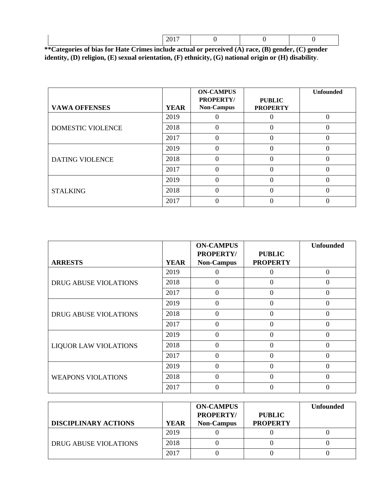|  |  |  | $\sim$ $\sim$ $\sim$ $\sim$ |  |  |  |  |
|--|--|--|-----------------------------|--|--|--|--|
|--|--|--|-----------------------------|--|--|--|--|

| **Categories of bias for Hate Crimes include actual or perceived (A) race, (B) gender, (C) gender     |
|-------------------------------------------------------------------------------------------------------|
| identity, (D) religion, (E) sexual orientation, (F) ethnicity, (G) national origin or (H) disability. |

|                        |             | <b>ON-CAMPUS</b><br><b>PROPERTY/</b> | <b>PUBLIC</b>   | <b>Unfounded</b> |
|------------------------|-------------|--------------------------------------|-----------------|------------------|
| <b>VAWA OFFENSES</b>   | <b>YEAR</b> | <b>Non-Campus</b>                    | <b>PROPERTY</b> |                  |
|                        | 2019        |                                      |                 |                  |
| DOMESTIC VIOLENCE      | 2018        | 0                                    | 0               | 0                |
|                        | 2017        |                                      | 0               |                  |
|                        | 2019        |                                      | 0               |                  |
| <b>DATING VIOLENCE</b> | 2018        |                                      | 0               | 0                |
|                        | 2017        |                                      | 0               | 0                |
|                        | 2019        |                                      | 0               |                  |
| <b>STALKING</b>        | 2018        |                                      |                 | 0                |
|                        | 2017        |                                      |                 |                  |

|                              |             | <b>ON-CAMPUS</b><br><b>PROPERTY/</b> | <b>PUBLIC</b>   | <b>Unfounded</b> |
|------------------------------|-------------|--------------------------------------|-----------------|------------------|
| <b>ARRESTS</b>               | <b>YEAR</b> | <b>Non-Campus</b>                    | <b>PROPERTY</b> |                  |
|                              | 2019        |                                      |                 | $\Omega$         |
| <b>DRUG ABUSE VIOLATIONS</b> | 2018        | 0                                    | 0               | $\Omega$         |
|                              | 2017        | 0                                    | 0               | $\Omega$         |
| <b>DRUG ABUSE VIOLATIONS</b> | 2019        |                                      | $\Omega$        | $\Omega$         |
|                              | 2018        | 0                                    | $\overline{0}$  | $\Omega$         |
|                              | 2017        |                                      | $\Omega$        | $\Omega$         |
|                              | 2019        | $\theta$                             | $\overline{0}$  | $\Omega$         |
| <b>LIQUOR LAW VIOLATIONS</b> | 2018        |                                      | $\overline{0}$  | $\Omega$         |
|                              | 2017        | 0                                    | $\theta$        | $\Omega$         |
| <b>WEAPONS VIOLATIONS</b>    | 2019        |                                      | $\Omega$        | $\Omega$         |
|                              | 2018        |                                      | $\Omega$        | $\Omega$         |
|                              | 2017        |                                      | 0               | 0                |

| <b>DISCIPLINARY ACTIONS</b>  | <b>YEAR</b> | <b>ON-CAMPUS</b><br><b>PROPERTY/</b><br><b>Non-Campus</b> | <b>PUBLIC</b><br><b>PROPERTY</b> | <b>Unfounded</b> |
|------------------------------|-------------|-----------------------------------------------------------|----------------------------------|------------------|
|                              | 2019        |                                                           |                                  |                  |
| <b>DRUG ABUSE VIOLATIONS</b> | 2018        |                                                           |                                  |                  |
|                              | 2017        |                                                           |                                  |                  |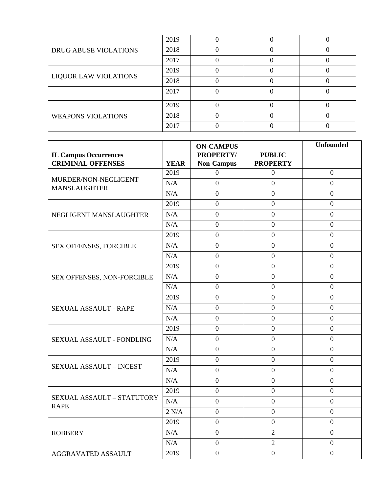| <b>DRUG ABUSE VIOLATIONS</b> | 2019 |  |  |
|------------------------------|------|--|--|
|                              | 2018 |  |  |
|                              | 2017 |  |  |
| <b>LIQUOR LAW VIOLATIONS</b> | 2019 |  |  |
|                              | 2018 |  |  |
|                              | 2017 |  |  |
|                              | 2019 |  |  |
| <b>WEAPONS VIOLATIONS</b>    | 2018 |  |  |
|                              | 2017 |  |  |

|                                                          |             | <b>ON-CAMPUS</b>                      |                                  | <b>Unfounded</b> |
|----------------------------------------------------------|-------------|---------------------------------------|----------------------------------|------------------|
| <b>IL Campus Occurrences</b><br><b>CRIMINAL OFFENSES</b> | <b>YEAR</b> | <b>PROPERTY/</b><br><b>Non-Campus</b> | <b>PUBLIC</b><br><b>PROPERTY</b> |                  |
|                                                          | 2019        | $\overline{0}$                        | $\boldsymbol{0}$                 | $\overline{0}$   |
| MURDER/NON-NEGLIGENT<br><b>MANSLAUGHTER</b>              | N/A         | $\boldsymbol{0}$                      | $\mathbf{0}$                     | $\boldsymbol{0}$ |
|                                                          | N/A         | $\overline{0}$                        | $\mathbf{0}$                     | $\mathbf{0}$     |
|                                                          | 2019        | $\mathbf{0}$                          | $\overline{0}$                   | $\boldsymbol{0}$ |
| NEGLIGENT MANSLAUGHTER                                   | N/A         | $\mathbf{0}$                          | $\overline{0}$                   | $\overline{0}$   |
|                                                          | N/A         | $\mathbf{0}$                          | $\boldsymbol{0}$                 | $\overline{0}$   |
|                                                          | 2019        | $\boldsymbol{0}$                      | $\mathbf{0}$                     | $\overline{0}$   |
| SEX OFFENSES, FORCIBLE                                   | N/A         | $\mathbf{0}$                          | $\overline{0}$                   | $\overline{0}$   |
|                                                          | N/A         | $\overline{0}$                        | $\overline{0}$                   | $\overline{0}$   |
|                                                          | 2019        | $\boldsymbol{0}$                      | $\mathbf{0}$                     | $\boldsymbol{0}$ |
| SEX OFFENSES, NON-FORCIBLE                               | N/A         | $\boldsymbol{0}$                      | $\mathbf{0}$                     | $\overline{0}$   |
|                                                          | N/A         | $\mathbf{0}$                          | $\mathbf{0}$                     | $\boldsymbol{0}$ |
|                                                          | 2019        | $\boldsymbol{0}$                      | $\mathbf{0}$                     | $\boldsymbol{0}$ |
| SEXUAL ASSAULT - RAPE                                    | N/A         | $\mathbf{0}$                          | $\overline{0}$                   | $\theta$         |
|                                                          | N/A         | $\mathbf{0}$                          | $\boldsymbol{0}$                 | $\boldsymbol{0}$ |
|                                                          | 2019        | $\boldsymbol{0}$                      | $\mathbf{0}$                     | $\boldsymbol{0}$ |
| SEXUAL ASSAULT - FONDLING                                | N/A         | $\mathbf{0}$                          | $\mathbf{0}$                     | $\boldsymbol{0}$ |
|                                                          | N/A         | $\overline{0}$                        | $\overline{0}$                   | $\overline{0}$   |
|                                                          | 2019        | $\boldsymbol{0}$                      | $\mathbf{0}$                     | $\overline{0}$   |
| <b>SEXUAL ASSAULT - INCEST</b>                           | N/A         | $\boldsymbol{0}$                      | $\mathbf{0}$                     | $\boldsymbol{0}$ |
|                                                          | N/A         | $\boldsymbol{0}$                      | $\boldsymbol{0}$                 | $\boldsymbol{0}$ |
|                                                          | 2019        | $\overline{0}$                        | $\overline{0}$                   | $\overline{0}$   |
| <b>SEXUAL ASSAULT - STATUTORY</b><br><b>RAPE</b>         | N/A         | $\mathbf{0}$                          | $\mathbf{0}$                     | $\overline{0}$   |
|                                                          | 2 N/A       | $\mathbf{0}$                          | $\overline{0}$                   | $\theta$         |
|                                                          | 2019        | $\boldsymbol{0}$                      | $\mathbf{0}$                     | $\boldsymbol{0}$ |
| <b>ROBBERY</b>                                           | N/A         | $\mathbf{0}$                          | $\overline{2}$                   | $\overline{0}$   |
|                                                          | N/A         | $\overline{0}$                        | $\overline{2}$                   | $\boldsymbol{0}$ |
| <b>AGGRAVATED ASSAULT</b>                                | 2019        | $\boldsymbol{0}$                      | $\boldsymbol{0}$                 | $\boldsymbol{0}$ |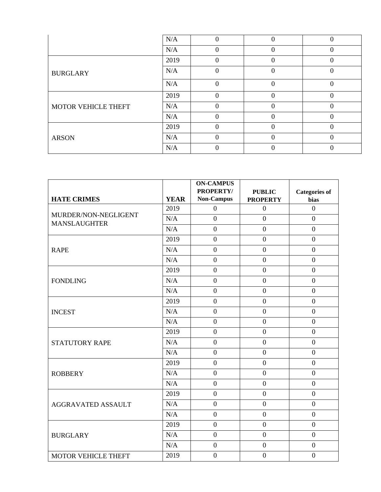|                            | N/A  | 0        | 0              | 0        |
|----------------------------|------|----------|----------------|----------|
|                            | N/A  |          |                |          |
|                            | 2019 | $\Omega$ |                |          |
| <b>BURGLARY</b>            | N/A  | $\theta$ | $\overline{0}$ | $\theta$ |
|                            | N/A  | $\Omega$ | $\theta$       | $\theta$ |
|                            | 2019 | $\Omega$ | 0              |          |
| <b>MOTOR VEHICLE THEFT</b> | N/A  | $\Omega$ | $\theta$       | $\Omega$ |
|                            | N/A  | $\Omega$ | 0              |          |
| <b>ARSON</b>               | 2019 | $\Omega$ |                |          |
|                            | N/A  | $\Omega$ |                |          |
|                            | N/A  |          |                |          |

|                                             |             | <b>ON-CAMPUS</b><br>PROPERTY/ |                                  |                              |
|---------------------------------------------|-------------|-------------------------------|----------------------------------|------------------------------|
| <b>HATE CRIMES</b>                          | <b>YEAR</b> | <b>Non-Campus</b>             | <b>PUBLIC</b><br><b>PROPERTY</b> | <b>Categories of</b><br>bias |
|                                             | 2019        | $\boldsymbol{0}$              | $\boldsymbol{0}$                 | $\boldsymbol{0}$             |
| MURDER/NON-NEGLIGENT<br><b>MANSLAUGHTER</b> | N/A         | $\boldsymbol{0}$              | $\overline{0}$                   | $\overline{0}$               |
|                                             | N/A         | $\boldsymbol{0}$              | $\overline{0}$                   | $\boldsymbol{0}$             |
|                                             | 2019        | $\boldsymbol{0}$              | $\boldsymbol{0}$                 | $\boldsymbol{0}$             |
| <b>RAPE</b>                                 | N/A         | $\overline{0}$                | $\overline{0}$                   | $\overline{0}$               |
|                                             | N/A         | $\mathbf{0}$                  | $\overline{0}$                   | $\overline{0}$               |
|                                             | 2019        | $\overline{0}$                | $\overline{0}$                   | $\overline{0}$               |
| <b>FONDLING</b>                             | N/A         | $\mathbf{0}$                  | $\overline{0}$                   | $\overline{0}$               |
|                                             | N/A         | $\mathbf{0}$                  | $\overline{0}$                   | $\boldsymbol{0}$             |
|                                             | 2019        | $\boldsymbol{0}$              | $\overline{0}$                   | $\overline{0}$               |
| <b>INCEST</b>                               | N/A         | $\boldsymbol{0}$              | $\boldsymbol{0}$                 | $\overline{0}$               |
|                                             | N/A         | $\overline{0}$                | $\overline{0}$                   | $\overline{0}$               |
|                                             | 2019        | $\mathbf{0}$                  | $\overline{0}$                   | $\overline{0}$               |
| <b>STATUTORY RAPE</b>                       | N/A         | $\boldsymbol{0}$              | $\overline{0}$                   | $\overline{0}$               |
|                                             | N/A         | $\mathbf{0}$                  | $\overline{0}$                   | $\overline{0}$               |
|                                             | 2019        | $\overline{0}$                | $\overline{0}$                   | $\overline{0}$               |
| <b>ROBBERY</b>                              | N/A         | $\boldsymbol{0}$              | $\overline{0}$                   | $\boldsymbol{0}$             |
|                                             | N/A         | $\mathbf{0}$                  | $\overline{0}$                   | $\overline{0}$               |
|                                             | 2019        | $\boldsymbol{0}$              | $\overline{0}$                   | $\overline{0}$               |
| <b>AGGRAVATED ASSAULT</b>                   | N/A         | $\boldsymbol{0}$              | $\overline{0}$                   | $\boldsymbol{0}$             |
|                                             | N/A         | $\mathbf{0}$                  | $\overline{0}$                   | $\boldsymbol{0}$             |
|                                             | 2019        | $\overline{0}$                | $\overline{0}$                   | $\overline{0}$               |
| <b>BURGLARY</b>                             | $\rm N/A$   | $\boldsymbol{0}$              | $\overline{0}$                   | $\overline{0}$               |
|                                             | N/A         | $\boldsymbol{0}$              | $\overline{0}$                   | $\boldsymbol{0}$             |
| <b>MOTOR VEHICLE THEFT</b>                  | 2019        | $\boldsymbol{0}$              | $\boldsymbol{0}$                 | $\overline{0}$               |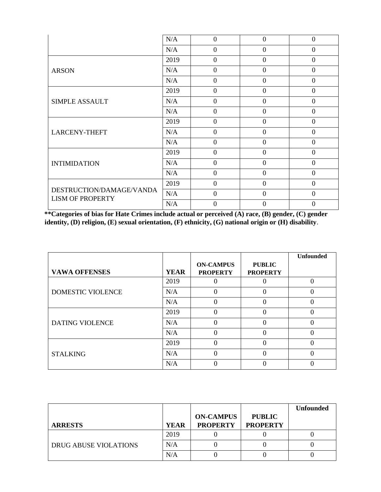|                                                     | N/A  | $\Omega$       | $\Omega$       | $\Omega$       |
|-----------------------------------------------------|------|----------------|----------------|----------------|
|                                                     | N/A  | $\overline{0}$ | $\overline{0}$ | $\overline{0}$ |
|                                                     | 2019 | $\Omega$       | $\overline{0}$ | $\theta$       |
| <b>ARSON</b>                                        | N/A  | $\overline{0}$ | $\overline{0}$ | $\theta$       |
|                                                     | N/A  | $\theta$       | $\overline{0}$ | $\overline{0}$ |
|                                                     | 2019 | $\theta$       | $\overline{0}$ | $\overline{0}$ |
| <b>SIMPLE ASSAULT</b>                               | N/A  | $\Omega$       | $\theta$       | $\Omega$       |
|                                                     | N/A  | $\overline{0}$ | $\overline{0}$ | $\overline{0}$ |
|                                                     | 2019 | $\Omega$       | $\overline{0}$ | $\Omega$       |
| <b>LARCENY-THEFT</b>                                | N/A  | $\Omega$       | $\overline{0}$ | $\overline{0}$ |
|                                                     | N/A  | $\theta$       | $\overline{0}$ | $\overline{0}$ |
|                                                     | 2019 | $\Omega$       | $\theta$       | $\theta$       |
| <b>INTIMIDATION</b>                                 | N/A  | $\theta$       | $\overline{0}$ | $\overline{0}$ |
|                                                     | N/A  | $\theta$       | $\overline{0}$ | $\theta$       |
| DESTRUCTION/DAMAGE/VANDA<br><b>LISM OF PROPERTY</b> | 2019 | $\Omega$       | $\theta$       | $\Omega$       |
|                                                     | N/A  | $\overline{0}$ | $\overline{0}$ | $\overline{0}$ |
|                                                     | N/A  | 0              | $\overline{0}$ | $\Omega$       |

**\*\*Categories of bias for Hate Crimes include actual or perceived (A) race, (B) gender, (C) gender identity, (D) religion, (E) sexual orientation, (F) ethnicity, (G) national origin or (H) disability**.

|                          |             |                                     |                                  | <b>Unfounded</b> |
|--------------------------|-------------|-------------------------------------|----------------------------------|------------------|
| <b>VAWA OFFENSES</b>     | <b>YEAR</b> | <b>ON-CAMPUS</b><br><b>PROPERTY</b> | <b>PUBLIC</b><br><b>PROPERTY</b> |                  |
|                          | 2019        |                                     |                                  |                  |
| <b>DOMESTIC VIOLENCE</b> | N/A         | 0                                   | 0                                |                  |
|                          | N/A         | 0                                   | 0                                | 0                |
|                          | 2019        | 0                                   | 0                                |                  |
| <b>DATING VIOLENCE</b>   | N/A         |                                     | $\Omega$                         |                  |
|                          | N/A         |                                     | 0                                |                  |
|                          | 2019        | 0                                   | 0                                | 0                |
| <b>STALKING</b>          | N/A         |                                     | 0                                |                  |
|                          | N/A         |                                     |                                  |                  |

|                       |             |                                     |                                  | <b>Unfounded</b> |
|-----------------------|-------------|-------------------------------------|----------------------------------|------------------|
| <b>ARRESTS</b>        | <b>YEAR</b> | <b>ON-CAMPUS</b><br><b>PROPERTY</b> | <b>PUBLIC</b><br><b>PROPERTY</b> |                  |
|                       | 2019        |                                     |                                  |                  |
| DRUG ABUSE VIOLATIONS | N/A         |                                     |                                  |                  |
|                       | N/A         |                                     |                                  |                  |